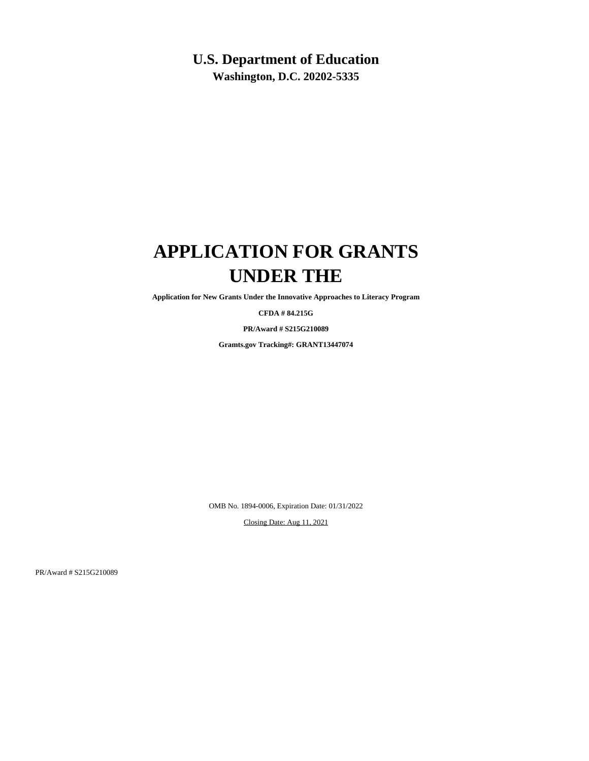# **U.S. Department of Education**

**Washington, D.C. 20202-5335**

# **APPLICATION FOR GRANTS UNDER THE**

**Application for New Grants Under the Innovative Approaches to Literacy Program**

**CFDA # 84.215G**

**PR/Award # S215G210089**

**Gramts.gov Tracking#: GRANT13447074**

OMB No. 1894-0006, Expiration Date: 01/31/2022

Closing Date: Aug 11, 2021

PR/Award # S215G210089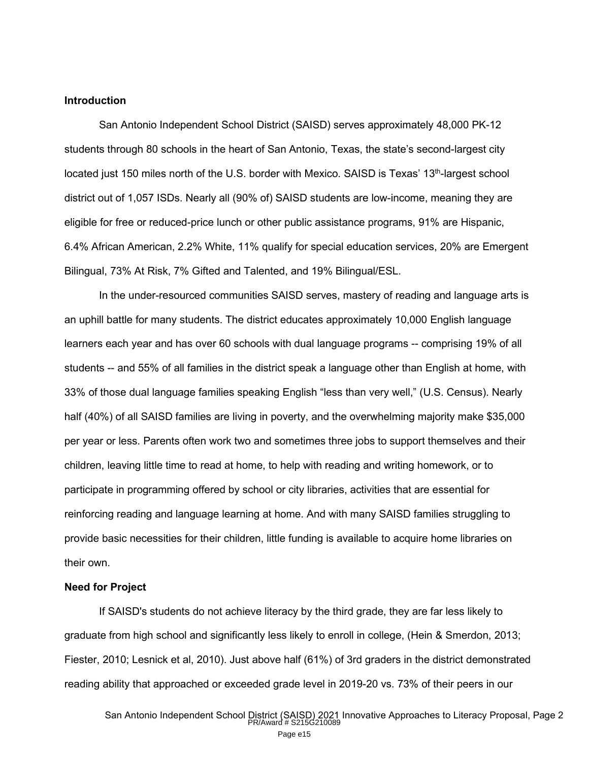#### **Introduction**

San Antonio Independent School District (SAISD) serves approximately 48,000 PK-12 students through 80 schools in the heart of San Antonio, Texas, the state's second-largest city located just 150 miles north of the U.S. border with Mexico. SAISD is Texas' 13<sup>th</sup>-largest school district out of 1,057 ISDs. Nearly all (90% of) SAISD students are low-income, meaning they are eligible for free or reduced-price lunch or other public assistance programs, 91% are Hispanic, 6.4% African American, 2.2% White, 11% qualify for special education services, 20% are Emergent Bilingual, 73% At Risk, 7% Gifted and Talented, and 19% Bilingual/ESL.

In the under-resourced communities SAISD serves, mastery of reading and language arts is an uphill battle for many students. The district educates approximately 10,000 English language learners each year and has over 60 schools with dual language programs -- comprising 19% of all students -- and 55% of all families in the district speak a language other than English at home, with 33% of those dual language families speaking English "less than very well," (U.S. Census). Nearly half (40%) of all SAISD families are living in poverty, and the overwhelming majority make \$35,000 per year or less. Parents often work two and sometimes three jobs to support themselves and their children, leaving little time to read at home, to help with reading and writing homework, or to participate in programming offered by school or city libraries, activities that are essential for reinforcing reading and language learning at home. And with many SAISD families struggling to provide basic necessities for their children, little funding is available to acquire home libraries on their own.

#### **Need for Project**

If SAISD's students do not achieve literacy by the third grade, they are far less likely to graduate from high school and significantly less likely to enroll in college, (Hein & Smerdon, 2013; Fiester, 2010; Lesnick et al, 2010). Just above half (61%) of 3rd graders in the district demonstrated reading ability that approached or exceeded grade level in 2019-20 vs. 73% of their peers in our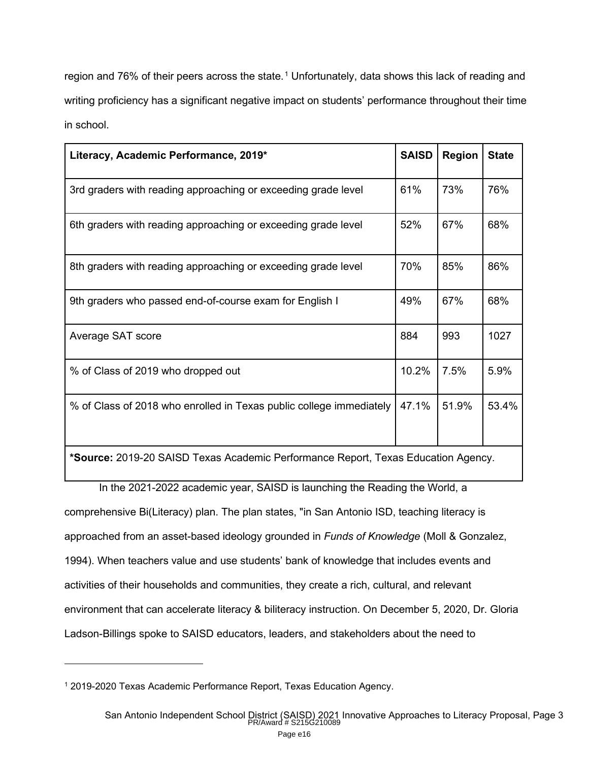region and 76% of their peers across the state.<sup>1</sup> Unfortunately, data shows this lack of reading and writing proficiency has a significant negative impact on students' performance throughout their time in school.

| Literacy, Academic Performance, 2019*                               | <b>SAISD</b> | <b>Region</b> | <b>State</b> |
|---------------------------------------------------------------------|--------------|---------------|--------------|
| 3rd graders with reading approaching or exceeding grade level       | 61%          | 73%           | 76%          |
| 6th graders with reading approaching or exceeding grade level       | 52%          | 67%           | 68%          |
| 8th graders with reading approaching or exceeding grade level       | 70%          | 85%           | 86%          |
| 9th graders who passed end-of-course exam for English I             | 49%          | 67%           | 68%          |
| Average SAT score                                                   | 884          | 993           | 1027         |
| % of Class of 2019 who dropped out                                  | 10.2%        | 7.5%          | 5.9%         |
| % of Class of 2018 who enrolled in Texas public college immediately | 47.1%        | 51.9%         | 53.4%        |
|                                                                     |              |               |              |

**\*Source:** 2019-20 SAISD Texas Academic Performance Report, Texas Education Agency.

In the 2021-2022 academic year, SAISD is launching the Reading the World, a comprehensive Bi(Literacy) plan. The plan states, "in San Antonio ISD, teaching literacy is approached from an asset-based ideology grounded in *Funds of Knowledge* (Moll & Gonzalez, 1994). When teachers value and use students' bank of knowledge that includes events and activities of their households and communities, they create a rich, cultural, and relevant environment that can accelerate literacy & biliteracy instruction. On December 5, 2020, Dr. Gloria Ladson-Billings spoke to SAISD educators, leaders, and stakeholders about the need to

<sup>1</sup> 2019-2020 Texas Academic Performance Report, Texas Education Agency.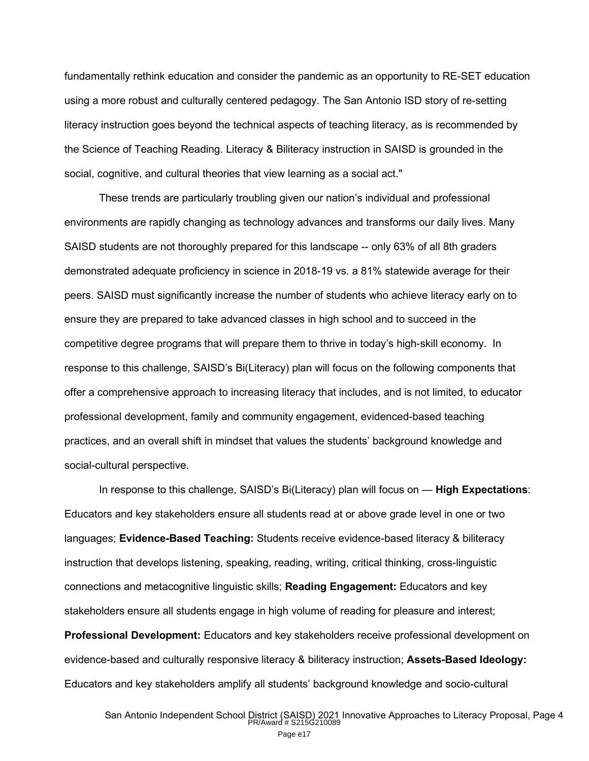fundamentally rethink education and consider the pandemic as an opportunity to RE-SET education using a more robust and culturally centered pedagogy. The San Antonio ISD story of re-setting literacy instruction goes beyond the technical aspects of teaching literacy, as is recommended by the Science of Teaching Reading. Literacy & Biliteracy instruction in SAISD is grounded in the social, cognitive, and cultural theories that view learning as a social act."

These trends are particularly troubling given our nation's individual and professional environments are rapidly changing as technology advances and transforms our daily lives. Many SAISD students are not thoroughly prepared for this landscape -- only 63% of all 8th graders demonstrated adequate proficiency in science in 2018-19 vs. a 81% statewide average for their peers. SAISD must significantly increase the number of students who achieve literacy early on to ensure they are prepared to take advanced classes in high school and to succeed in the competitive degree programs that will prepare them to thrive in today's high-skill economy. In response to this challenge, SAISD's Bi(Literacy) plan will focus on the following components that offer a comprehensive approach to increasing literacy that includes, and is not limited, to educator professional development, family and community engagement, evidenced-based teaching practices, and an overall shift in mindset that values the students' background knowledge and social-cultural perspective.

In response to this challenge, SAISD's Bi(Literacy) plan will focus on — **High Expectations**: Educators and key stakeholders ensure all students read at or above grade level in one or two languages; **Evidence-Based Teaching:** Students receive evidence-based literacy & biliteracy instruction that develops listening, speaking, reading, writing, critical thinking, cross-linguistic connections and metacognitive linguistic skills; **Reading Engagement:** Educators and key stakeholders ensure all students engage in high volume of reading for pleasure and interest; **Professional Development:** Educators and key stakeholders receive professional development on evidence-based and culturally responsive literacy & biliteracy instruction; **Assets-Based Ideology:**  Educators and key stakeholders amplify all students' background knowledge and socio-cultural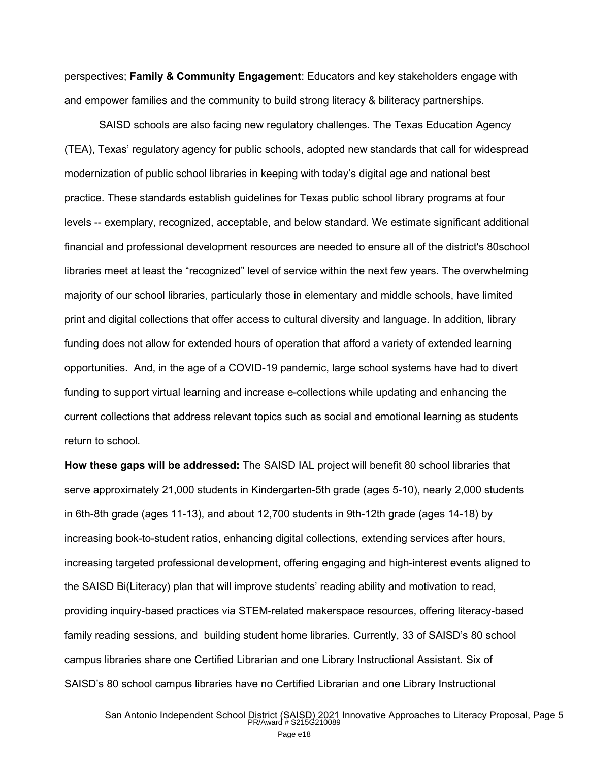perspectives; **Family & Community Engagement**: Educators and key stakeholders engage with and empower families and the community to build strong literacy & biliteracy partnerships.

SAISD schools are also facing new regulatory challenges. The Texas Education Agency (TEA), Texas' regulatory agency for public schools, adopted new standards that call for widespread modernization of public school libraries in keeping with today's digital age and national best practice. These standards establish guidelines for Texas public school library programs at four levels -- exemplary, recognized, acceptable, and below standard. We estimate significant additional financial and professional development resources are needed to ensure all of the district's 80school libraries meet at least the "recognized" level of service within the next few years. The overwhelming majority of our school libraries, particularly those in elementary and middle schools, have limited print and digital collections that offer access to cultural diversity and language. In addition, library funding does not allow for extended hours of operation that afford a variety of extended learning opportunities. And, in the age of a COVID-19 pandemic, large school systems have had to divert funding to support virtual learning and increase e-collections while updating and enhancing the current collections that address relevant topics such as social and emotional learning as students return to school.

**How these gaps will be addressed:** The SAISD IAL project will benefit 80 school libraries that serve approximately 21,000 students in Kindergarten-5th grade (ages 5-10), nearly 2,000 students in 6th-8th grade (ages 11-13), and about 12,700 students in 9th-12th grade (ages 14-18) by increasing book-to-student ratios, enhancing digital collections, extending services after hours, increasing targeted professional development, offering engaging and high-interest events aligned to the SAISD Bi(Literacy) plan that will improve students' reading ability and motivation to read, providing inquiry-based practices via STEM-related makerspace resources, offering literacy-based family reading sessions, and building student home libraries. Currently, 33 of SAISD's 80 school campus libraries share one Certified Librarian and one Library Instructional Assistant. Six of SAISD's 80 school campus libraries have no Certified Librarian and one Library Instructional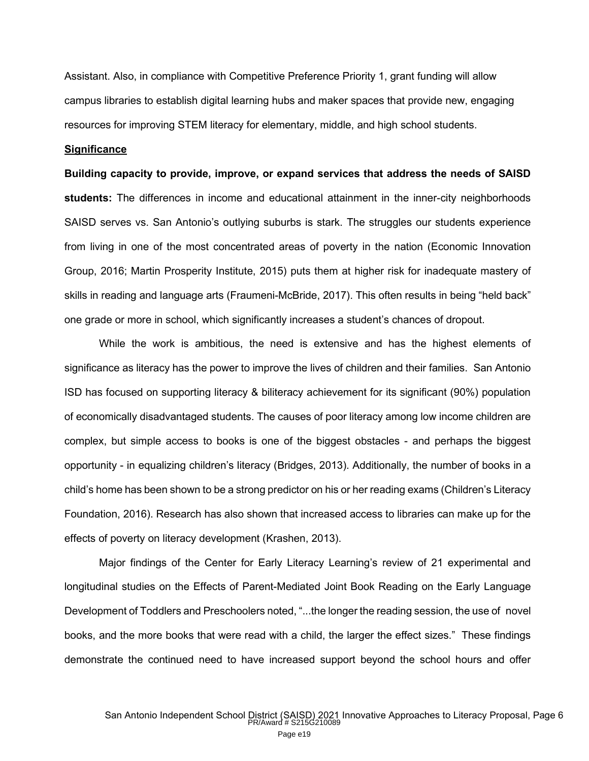Assistant. Also, in compliance with Competitive Preference Priority 1, grant funding will allow campus libraries to establish digital learning hubs and maker spaces that provide new, engaging resources for improving STEM literacy for elementary, middle, and high school students.

#### **Significance**

**Building capacity to provide, improve, or expand services that address the needs of SAISD students:** The differences in income and educational attainment in the inner-city neighborhoods SAISD serves vs. San Antonio's outlying suburbs is stark. The struggles our students experience from living in one of the most concentrated areas of poverty in the nation (Economic Innovation Group, 2016; Martin Prosperity Institute, 2015) puts them at higher risk for inadequate mastery of skills in reading and language arts (Fraumeni-McBride, 2017). This often results in being "held back" one grade or more in school, which significantly increases a student's chances of dropout.

While the work is ambitious, the need is extensive and has the highest elements of significance as literacy has the power to improve the lives of children and their families. San Antonio ISD has focused on supporting literacy & biliteracy achievement for its significant (90%) population of economically disadvantaged students. The causes of poor literacy among low income children are complex, but simple access to books is one of the biggest obstacles - and perhaps the biggest opportunity - in equalizing children's literacy (Bridges, 2013). Additionally, the number of books in a child's home has been shown to be a strong predictor on his or her reading exams (Children's Literacy Foundation, 2016). Research has also shown that increased access to libraries can make up for the effects of poverty on literacy development (Krashen, 2013).

Major findings of the Center for Early Literacy Learning's review of 21 experimental and longitudinal studies on the Effects of Parent-Mediated Joint Book Reading on the Early Language Development of Toddlers and Preschoolers noted, "...the longer the reading session, the use of novel books, and the more books that were read with a child, the larger the effect sizes." These findings demonstrate the continued need to have increased support beyond the school hours and offer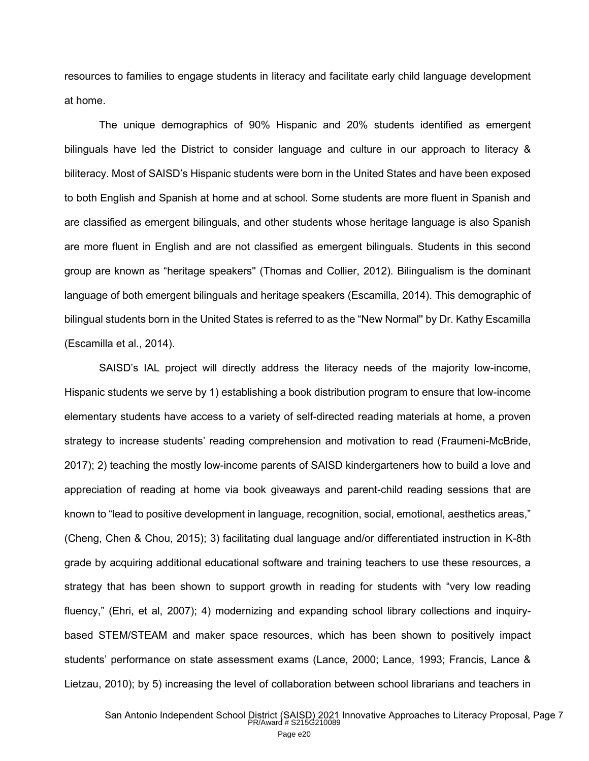resources to families to engage students in literacy and facilitate early child language development at home.

The unique demographics of 90% Hispanic and 20% students identified as emergent bilinguals have led the District to consider language and culture in our approach to literacy & biliteracy. Most of SAISD's Hispanic students were born in the United States and have been exposed to both English and Spanish at home and at school. Some students are more fluent in Spanish and are classified as emergent bilinguals, and other students whose heritage language is also Spanish are more fluent in English and are not classified as emergent bilinguals. Students in this second group are known as "heritage speakers'' (Thomas and Collier, 2012). Bilingualism is the dominant language of both emergent bilinguals and heritage speakers (Escamilla, 2014). This demographic of bilingual students born in the United States is referred to as the "New Normal'' by Dr. Kathy Escamilla (Escamilla et al., 2014).

SAISD's IAL project will directly address the literacy needs of the majority low-income, Hispanic students we serve by 1) establishing a book distribution program to ensure that low-income elementary students have access to a variety of self-directed reading materials at home, a proven strategy to increase students' reading comprehension and motivation to read (Fraumeni-McBride, 2017); 2) teaching the mostly low-income parents of SAISD kindergarteners how to build a love and appreciation of reading at home via book giveaways and parent-child reading sessions that are known to "lead to positive development in language, recognition, social, emotional, aesthetics areas," (Cheng, Chen & Chou, 2015); 3) facilitating dual language and/or differentiated instruction in K-8th grade by acquiring additional educational software and training teachers to use these resources, a strategy that has been shown to support growth in reading for students with "very low reading fluency," (Ehri, et al, 2007); 4) modernizing and expanding school library collections and inquirybased STEM/STEAM and maker space resources, which has been shown to positively impact students' performance on state assessment exams (Lance, 2000; Lance, 1993; Francis, Lance & Lietzau, 2010); by 5) increasing the level of collaboration between school librarians and teachers in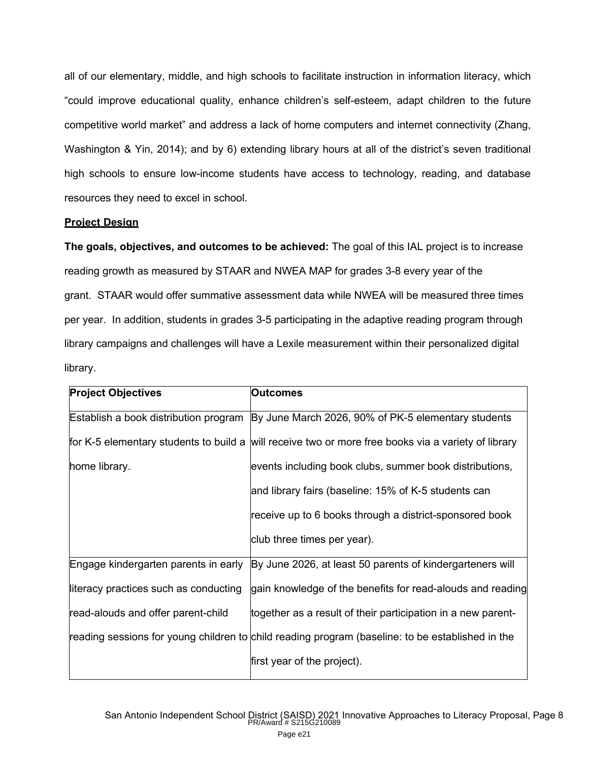all of our elementary, middle, and high schools to facilitate instruction in information literacy, which "could improve educational quality, enhance children's self-esteem, adapt children to the future competitive world market" and address a lack of home computers and internet connectivity (Zhang, Washington & Yin, 2014); and by 6) extending library hours at all of the district's seven traditional high schools to ensure low-income students have access to technology, reading, and database resources they need to excel in school.

## **Project Design**

**The goals, objectives, and outcomes to be achieved:** The goal of this IAL project is to increase reading growth as measured by STAAR and NWEA MAP for grades 3-8 every year of the grant. STAAR would offer summative assessment data while NWEA will be measured three times per year. In addition, students in grades 3-5 participating in the adaptive reading program through library campaigns and challenges will have a Lexile measurement within their personalized digital library.

| <b>Project Objectives</b>              | <b>Outcomes</b>                                                                                  |  |
|----------------------------------------|--------------------------------------------------------------------------------------------------|--|
| Establish a book distribution program  | By June March 2026, 90% of PK-5 elementary students                                              |  |
| for K-5 elementary students to build a | will receive two or more free books via a variety of library                                     |  |
| home library.                          | events including book clubs, summer book distributions,                                          |  |
|                                        | and library fairs (baseline: 15% of K-5 students can                                             |  |
|                                        | receive up to 6 books through a district-sponsored book                                          |  |
|                                        | club three times per year).                                                                      |  |
| Engage kindergarten parents in early   | By June 2026, at least 50 parents of kindergarteners will                                        |  |
| literacy practices such as conducting  | gain knowledge of the benefits for read-alouds and reading                                       |  |
| read-alouds and offer parent-child     | together as a result of their participation in a new parent-                                     |  |
|                                        | reading sessions for young children to child reading program (baseline: to be established in the |  |
|                                        | first year of the project).                                                                      |  |
|                                        |                                                                                                  |  |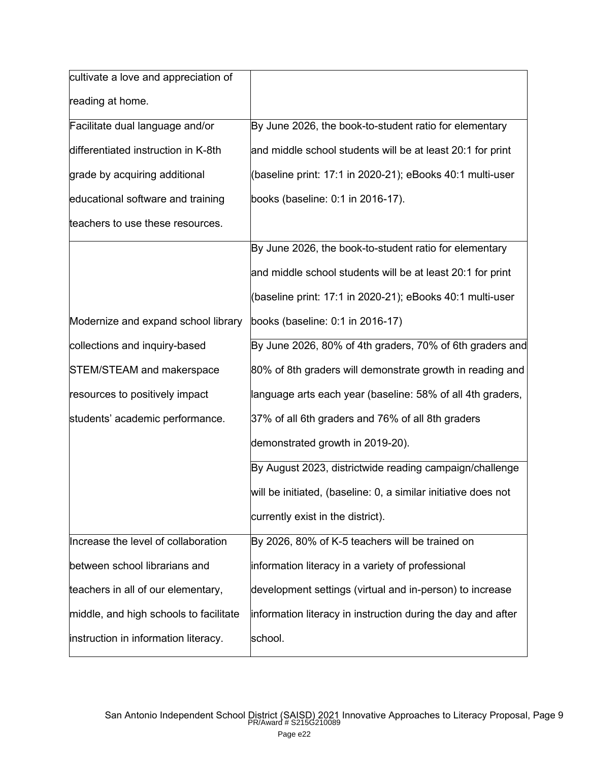| cultivate a love and appreciation of   |                                                                |  |
|----------------------------------------|----------------------------------------------------------------|--|
| reading at home.                       |                                                                |  |
| Facilitate dual language and/or        | By June 2026, the book-to-student ratio for elementary         |  |
| differentiated instruction in K-8th    | and middle school students will be at least 20:1 for print     |  |
| grade by acquiring additional          | (baseline print: 17:1 in 2020-21); eBooks 40:1 multi-user      |  |
| educational software and training      | books (baseline: 0:1 in 2016-17).                              |  |
| teachers to use these resources.       |                                                                |  |
|                                        | By June 2026, the book-to-student ratio for elementary         |  |
|                                        | and middle school students will be at least 20:1 for print     |  |
|                                        | (baseline print: 17:1 in 2020-21); eBooks 40:1 multi-user      |  |
| Modernize and expand school library    | books (baseline: $0:1$ in 2016-17)                             |  |
| collections and inquiry-based          | By June 2026, 80% of 4th graders, 70% of 6th graders and       |  |
| STEM/STEAM and makerspace              | 80% of 8th graders will demonstrate growth in reading and      |  |
| resources to positively impact         | language arts each year (baseline: 58% of all 4th graders,     |  |
| students' academic performance.        | 37% of all 6th graders and 76% of all 8th graders              |  |
|                                        | demonstrated growth in 2019-20).                               |  |
|                                        | By August 2023, districtwide reading campaign/challenge        |  |
|                                        | will be initiated, (baseline: 0, a similar initiative does not |  |
|                                        | currently exist in the district).                              |  |
| Increase the level of collaboration    | By 2026, 80% of K-5 teachers will be trained on                |  |
| between school librarians and          | information literacy in a variety of professional              |  |
| teachers in all of our elementary,     | development settings (virtual and in-person) to increase       |  |
| middle, and high schools to facilitate | information literacy in instruction during the day and after   |  |
| instruction in information literacy.   | school.                                                        |  |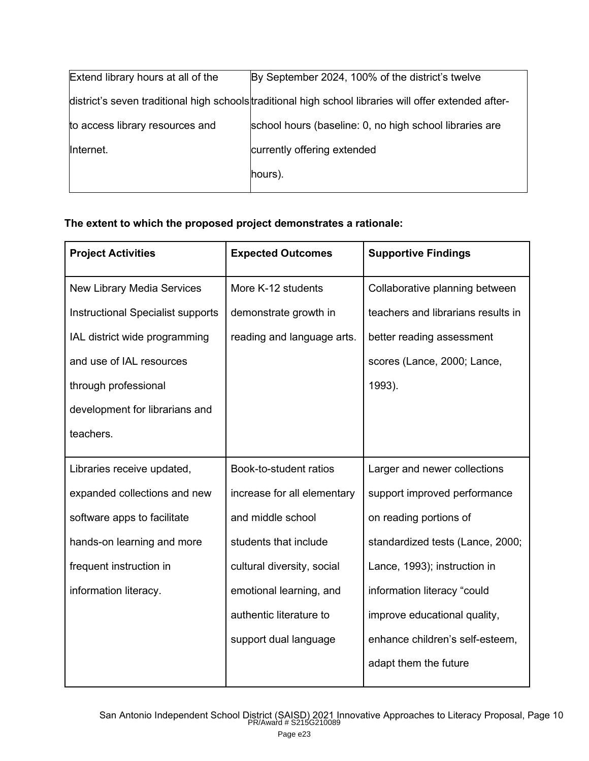| Extend library hours at all of the | By September 2024, 100% of the district's twelve                                                       |
|------------------------------------|--------------------------------------------------------------------------------------------------------|
|                                    | district's seven traditional high schools traditional high school libraries will offer extended after- |
| to access library resources and    | school hours (baseline: 0, no high school libraries are                                                |
| Internet.                          | currently offering extended                                                                            |
|                                    | hours).                                                                                                |

# **The extent to which the proposed project demonstrates a rationale:**

| <b>Project Activities</b>                | <b>Expected Outcomes</b>    | <b>Supportive Findings</b>         |
|------------------------------------------|-----------------------------|------------------------------------|
| <b>New Library Media Services</b>        | More K-12 students          | Collaborative planning between     |
| <b>Instructional Specialist supports</b> | demonstrate growth in       | teachers and librarians results in |
| IAL district wide programming            | reading and language arts.  | better reading assessment          |
| and use of IAL resources                 |                             | scores (Lance, 2000; Lance,        |
| through professional                     |                             | 1993).                             |
| development for librarians and           |                             |                                    |
| teachers.                                |                             |                                    |
| Libraries receive updated,               | Book-to-student ratios      | Larger and newer collections       |
| expanded collections and new             | increase for all elementary | support improved performance       |
| software apps to facilitate              | and middle school           | on reading portions of             |
| hands-on learning and more               | students that include       | standardized tests (Lance, 2000;   |
| frequent instruction in                  | cultural diversity, social  | Lance, 1993); instruction in       |
| information literacy.                    | emotional learning, and     | information literacy "could        |
|                                          | authentic literature to     | improve educational quality,       |
|                                          | support dual language       | enhance children's self-esteem,    |
|                                          |                             | adapt them the future              |

San Antonio Independent School District (SAISD) 2021 Innovative Approaches to Literacy Proposal, Page 10 PR/Award # S215G210089 Page e23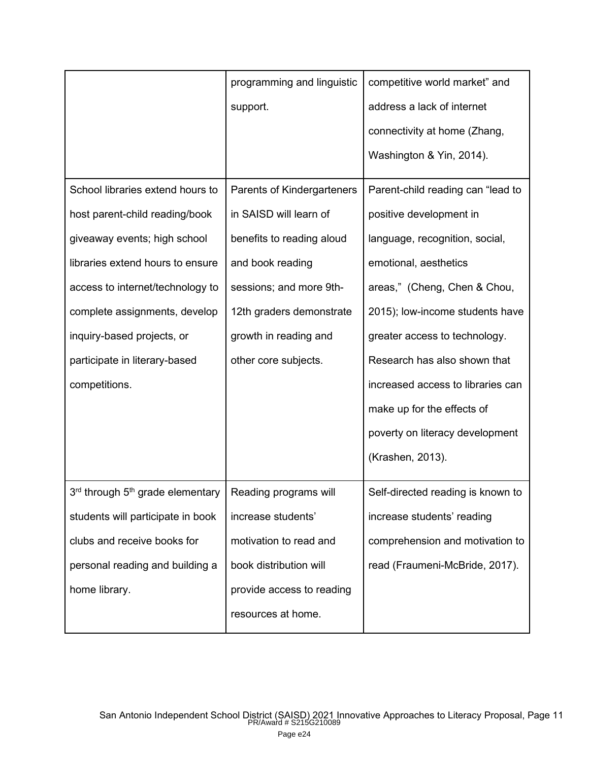|                                      | programming and linguistic | competitive world market" and     |
|--------------------------------------|----------------------------|-----------------------------------|
|                                      | support.                   | address a lack of internet        |
|                                      |                            | connectivity at home (Zhang,      |
|                                      |                            | Washington & Yin, 2014).          |
| School libraries extend hours to     | Parents of Kindergarteners | Parent-child reading can "lead to |
| host parent-child reading/book       | in SAISD will learn of     | positive development in           |
| giveaway events; high school         | benefits to reading aloud  | language, recognition, social,    |
| libraries extend hours to ensure     | and book reading           | emotional, aesthetics             |
| access to internet/technology to     | sessions; and more 9th-    | areas," (Cheng, Chen & Chou,      |
| complete assignments, develop        | 12th graders demonstrate   | 2015); low-income students have   |
| inquiry-based projects, or           | growth in reading and      | greater access to technology.     |
| participate in literary-based        | other core subjects.       | Research has also shown that      |
| competitions.                        |                            | increased access to libraries can |
|                                      |                            | make up for the effects of        |
|                                      |                            | poverty on literacy development   |
|                                      |                            | (Krashen, 2013).                  |
| $3rd$ through $5th$ grade elementary | Reading programs will      | Self-directed reading is known to |
| students will participate in book    | increase students'         | increase students' reading        |
| clubs and receive books for          | motivation to read and     | comprehension and motivation to   |
| personal reading and building a      | book distribution will     | read (Fraumeni-McBride, 2017).    |
| home library.                        | provide access to reading  |                                   |
|                                      | resources at home.         |                                   |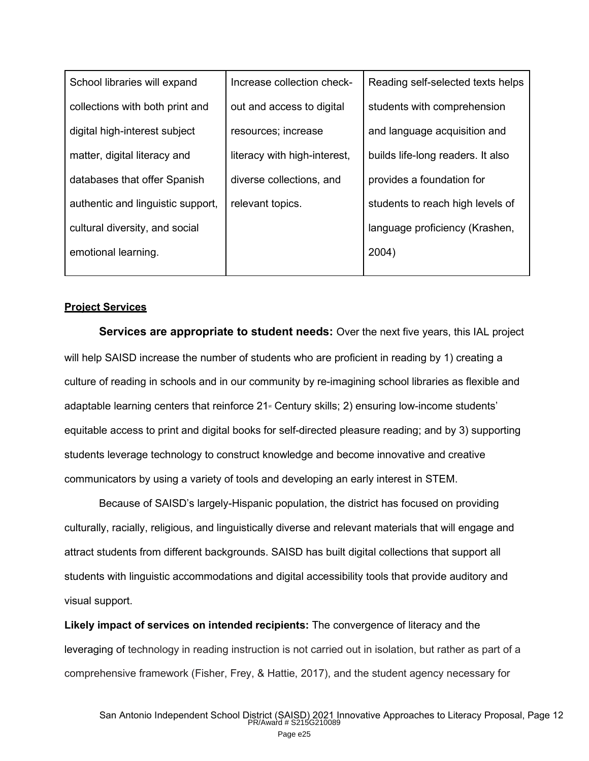| School libraries will expand      | Increase collection check-   | Reading self-selected texts helps |
|-----------------------------------|------------------------------|-----------------------------------|
| collections with both print and   | out and access to digital    | students with comprehension       |
| digital high-interest subject     | resources; increase          | and language acquisition and      |
| matter, digital literacy and      | literacy with high-interest, | builds life-long readers. It also |
| databases that offer Spanish      | diverse collections, and     | provides a foundation for         |
| authentic and linguistic support, | relevant topics.             | students to reach high levels of  |
| cultural diversity, and social    |                              | language proficiency (Krashen,    |
| emotional learning.               |                              | 2004)                             |
|                                   |                              |                                   |

## **Project Services**

**Services are appropriate to student needs:** Over the next five years, this IAL project will help SAISD increase the number of students who are proficient in reading by 1) creating a culture of reading in schools and in our community by re-imagining school libraries as flexible and adaptable learning centers that reinforce 21<sup>\*</sup> Century skills; 2) ensuring low-income students' equitable access to print and digital books for self-directed pleasure reading; and by 3) supporting students leverage technology to construct knowledge and become innovative and creative communicators by using a variety of tools and developing an early interest in STEM.

Because of SAISD's largely-Hispanic population, the district has focused on providing culturally, racially, religious, and linguistically diverse and relevant materials that will engage and attract students from different backgrounds. SAISD has built digital collections that support all students with linguistic accommodations and digital accessibility tools that provide auditory and visual support.

**Likely impact of services on intended recipients:** The convergence of literacy and the leveraging of technology in reading instruction is not carried out in isolation, but rather as part of a comprehensive framework (Fisher, Frey, & Hattie, 2017), and the student agency necessary for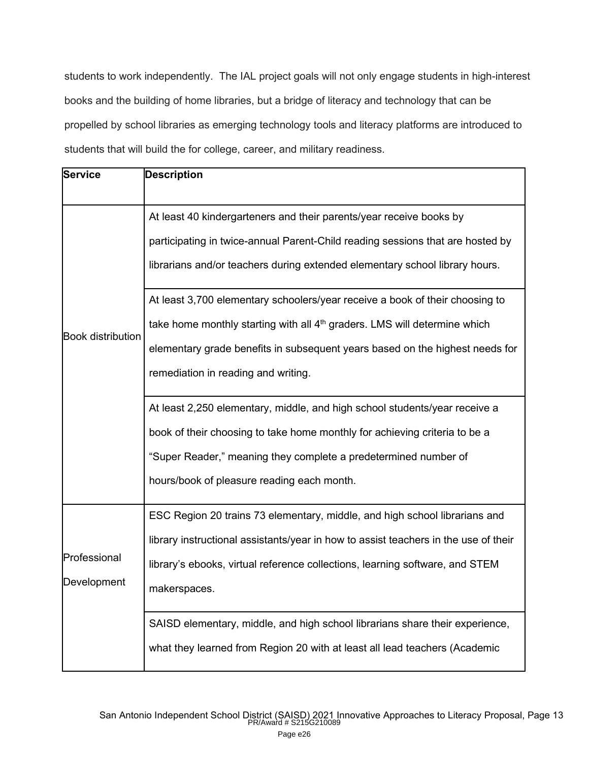students to work independently. The IAL project goals will not only engage students in high-interest books and the building of home libraries, but a bridge of literacy and technology that can be propelled by school libraries as emerging technology tools and literacy platforms are introduced to students that will build the for college, career, and military readiness.

| <b>Service</b>              | <b>Description</b>                                                                                                                                                                                                                                                                                                                                                                                                                                                                                                                                                                                       |
|-----------------------------|----------------------------------------------------------------------------------------------------------------------------------------------------------------------------------------------------------------------------------------------------------------------------------------------------------------------------------------------------------------------------------------------------------------------------------------------------------------------------------------------------------------------------------------------------------------------------------------------------------|
| <b>Book distribution</b>    | At least 40 kindergarteners and their parents/year receive books by<br>participating in twice-annual Parent-Child reading sessions that are hosted by<br>librarians and/or teachers during extended elementary school library hours.<br>At least 3,700 elementary schoolers/year receive a book of their choosing to<br>take home monthly starting with all $4th$ graders. LMS will determine which<br>elementary grade benefits in subsequent years based on the highest needs for<br>remediation in reading and writing.<br>At least 2,250 elementary, middle, and high school students/year receive a |
|                             | book of their choosing to take home monthly for achieving criteria to be a<br>"Super Reader," meaning they complete a predetermined number of<br>hours/book of pleasure reading each month.                                                                                                                                                                                                                                                                                                                                                                                                              |
| Professional<br>Development | ESC Region 20 trains 73 elementary, middle, and high school librarians and<br>library instructional assistants/year in how to assist teachers in the use of their<br>library's ebooks, virtual reference collections, learning software, and STEM<br>makerspaces.<br>SAISD elementary, middle, and high school librarians share their experience,                                                                                                                                                                                                                                                        |
|                             | what they learned from Region 20 with at least all lead teachers (Academic                                                                                                                                                                                                                                                                                                                                                                                                                                                                                                                               |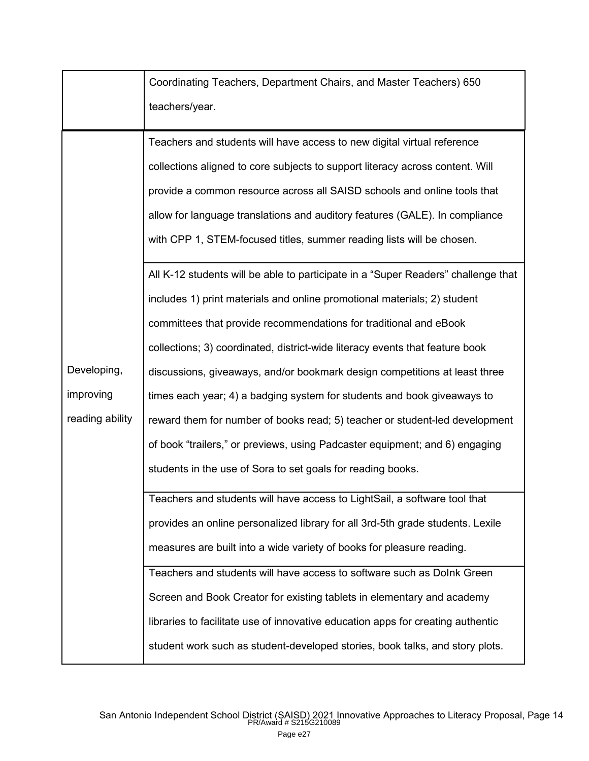|                 | Coordinating Teachers, Department Chairs, and Master Teachers) 650                |  |  |
|-----------------|-----------------------------------------------------------------------------------|--|--|
|                 | teachers/year.                                                                    |  |  |
|                 | Teachers and students will have access to new digital virtual reference           |  |  |
|                 | collections aligned to core subjects to support literacy across content. Will     |  |  |
|                 | provide a common resource across all SAISD schools and online tools that          |  |  |
|                 | allow for language translations and auditory features (GALE). In compliance       |  |  |
|                 | with CPP 1, STEM-focused titles, summer reading lists will be chosen.             |  |  |
|                 | All K-12 students will be able to participate in a "Super Readers" challenge that |  |  |
|                 | includes 1) print materials and online promotional materials; 2) student          |  |  |
|                 | committees that provide recommendations for traditional and eBook                 |  |  |
|                 | collections; 3) coordinated, district-wide literacy events that feature book      |  |  |
| Developing,     | discussions, giveaways, and/or bookmark design competitions at least three        |  |  |
| improving       | times each year; 4) a badging system for students and book giveaways to           |  |  |
| reading ability | reward them for number of books read; 5) teacher or student-led development       |  |  |
|                 | of book "trailers," or previews, using Padcaster equipment; and 6) engaging       |  |  |
|                 | students in the use of Sora to set goals for reading books.                       |  |  |
|                 | Teachers and students will have access to LightSail, a software tool that         |  |  |
|                 | provides an online personalized library for all 3rd-5th grade students. Lexile    |  |  |
|                 | measures are built into a wide variety of books for pleasure reading.             |  |  |
|                 | Teachers and students will have access to software such as Dolnk Green            |  |  |
|                 | Screen and Book Creator for existing tablets in elementary and academy            |  |  |
|                 | libraries to facilitate use of innovative education apps for creating authentic   |  |  |
|                 | student work such as student-developed stories, book talks, and story plots.      |  |  |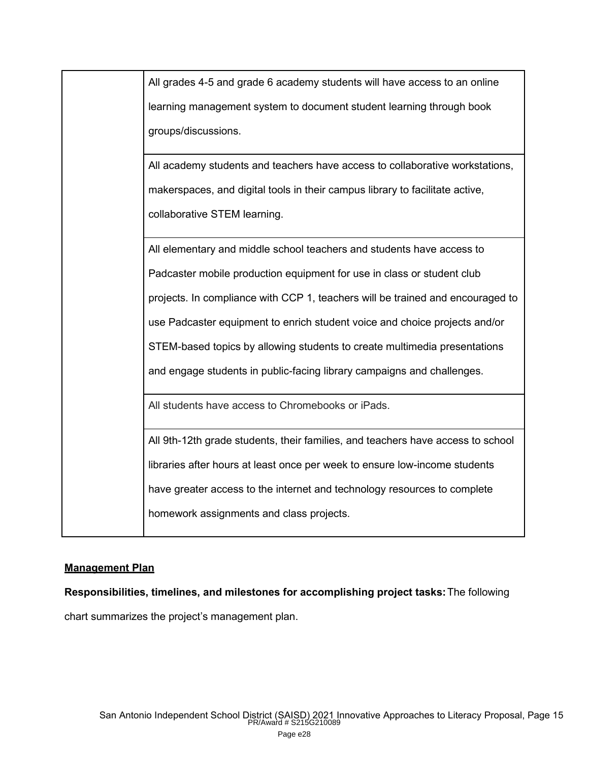| All grades 4-5 and grade 6 academy students will have access to an online       |
|---------------------------------------------------------------------------------|
| learning management system to document student learning through book            |
| groups/discussions.                                                             |
| All academy students and teachers have access to collaborative workstations,    |
| makerspaces, and digital tools in their campus library to facilitate active,    |
| collaborative STEM learning.                                                    |
| All elementary and middle school teachers and students have access to           |
| Padcaster mobile production equipment for use in class or student club          |
| projects. In compliance with CCP 1, teachers will be trained and encouraged to  |
| use Padcaster equipment to enrich student voice and choice projects and/or      |
| STEM-based topics by allowing students to create multimedia presentations       |
| and engage students in public-facing library campaigns and challenges.          |
| All students have access to Chromebooks or iPads.                               |
| All 9th-12th grade students, their families, and teachers have access to school |
| libraries after hours at least once per week to ensure low-income students      |
| have greater access to the internet and technology resources to complete        |
| homework assignments and class projects.                                        |
|                                                                                 |

# **Management Plan**

**Responsibilities, timelines, and milestones for accomplishing project tasks:**The following chart summarizes the project's management plan.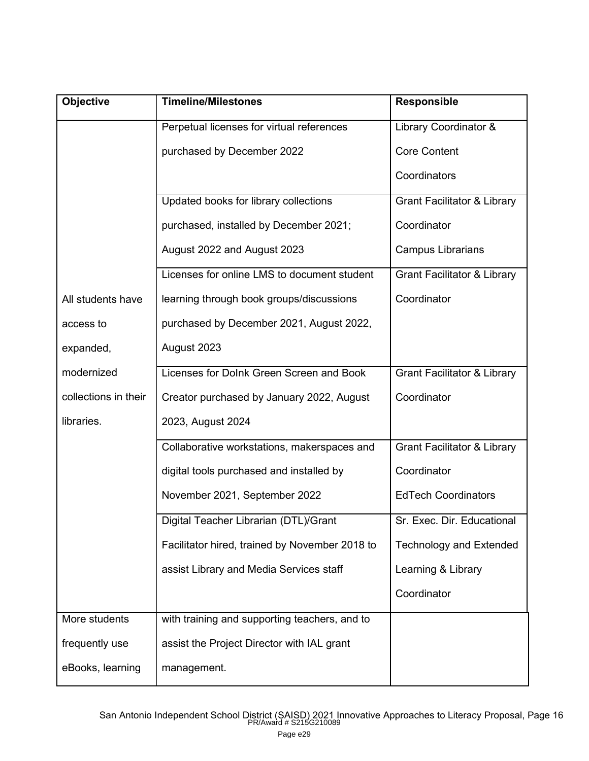| <b>Objective</b>     | <b>Timeline/Milestones</b>                     | Responsible                            |
|----------------------|------------------------------------------------|----------------------------------------|
|                      | Perpetual licenses for virtual references      | Library Coordinator &                  |
|                      | purchased by December 2022                     | <b>Core Content</b>                    |
|                      |                                                | Coordinators                           |
|                      | Updated books for library collections          | <b>Grant Facilitator &amp; Library</b> |
|                      | purchased, installed by December 2021;         | Coordinator                            |
|                      | August 2022 and August 2023                    | <b>Campus Librarians</b>               |
|                      | Licenses for online LMS to document student    | <b>Grant Facilitator &amp; Library</b> |
| All students have    | learning through book groups/discussions       | Coordinator                            |
| access to            | purchased by December 2021, August 2022,       |                                        |
| expanded,            | August 2023                                    |                                        |
| modernized           | Licenses for Dolnk Green Screen and Book       | <b>Grant Facilitator &amp; Library</b> |
| collections in their | Creator purchased by January 2022, August      | Coordinator                            |
| libraries.           | 2023, August 2024                              |                                        |
|                      | Collaborative workstations, makerspaces and    | <b>Grant Facilitator &amp; Library</b> |
|                      | digital tools purchased and installed by       | Coordinator                            |
|                      | November 2021, September 2022                  | <b>EdTech Coordinators</b>             |
|                      | Digital Teacher Librarian (DTL)/Grant          | Sr. Exec. Dir. Educational             |
|                      | Facilitator hired, trained by November 2018 to | <b>Technology and Extended</b>         |
|                      | assist Library and Media Services staff        | Learning & Library                     |
|                      |                                                | Coordinator                            |
| More students        | with training and supporting teachers, and to  |                                        |
| frequently use       | assist the Project Director with IAL grant     |                                        |
| eBooks, learning     | management.                                    |                                        |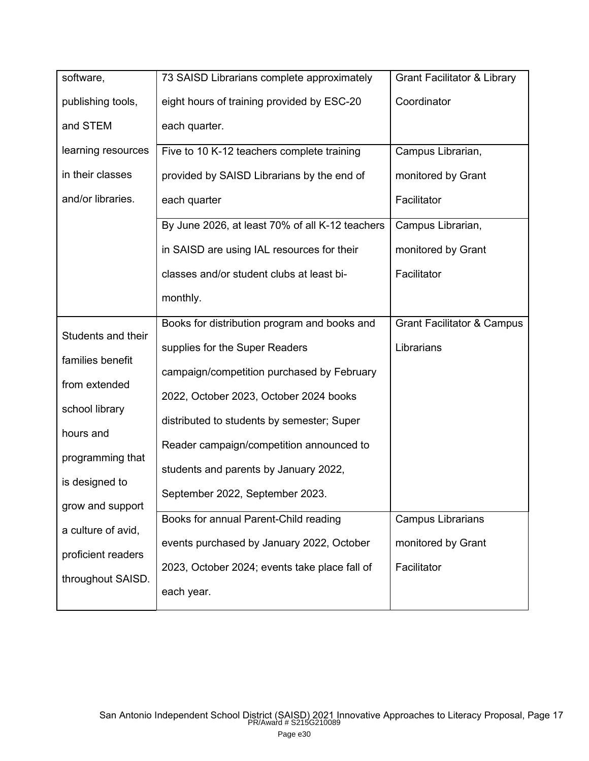| software,          | 73 SAISD Librarians complete approximately      | <b>Grant Facilitator &amp; Library</b> |
|--------------------|-------------------------------------------------|----------------------------------------|
| publishing tools,  | eight hours of training provided by ESC-20      | Coordinator                            |
| and STEM           | each quarter.                                   |                                        |
| learning resources | Five to 10 K-12 teachers complete training      | Campus Librarian,                      |
| in their classes   | provided by SAISD Librarians by the end of      | monitored by Grant                     |
| and/or libraries.  | each quarter                                    | Facilitator                            |
|                    | By June 2026, at least 70% of all K-12 teachers | Campus Librarian,                      |
|                    | in SAISD are using IAL resources for their      | monitored by Grant                     |
|                    | classes and/or student clubs at least bi-       | Facilitator                            |
|                    | monthly.                                        |                                        |
| Students and their | Books for distribution program and books and    | <b>Grant Facilitator &amp; Campus</b>  |
| families benefit   | supplies for the Super Readers                  | Librarians                             |
|                    | campaign/competition purchased by February      |                                        |
| from extended      | 2022, October 2023, October 2024 books          |                                        |
| school library     | distributed to students by semester; Super      |                                        |
| hours and          | Reader campaign/competition announced to        |                                        |
| programming that   |                                                 |                                        |
| is designed to     | students and parents by January 2022,           |                                        |
| grow and support   | September 2022, September 2023.                 |                                        |
| a culture of avid, | Books for annual Parent-Child reading           | <b>Campus Librarians</b>               |
| proficient readers | events purchased by January 2022, October       | monitored by Grant                     |
|                    | 2023, October 2024; events take place fall of   | Facilitator                            |
| throughout SAISD.  | each year.                                      |                                        |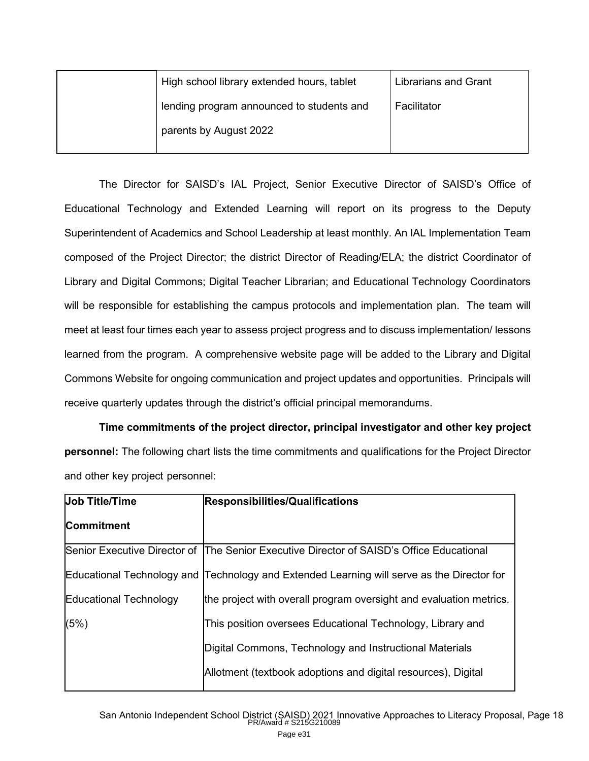| High school library extended hours, tablet | <b>Librarians and Grant</b> |
|--------------------------------------------|-----------------------------|
| lending program announced to students and  | Facilitator                 |
| parents by August 2022                     |                             |
|                                            |                             |

The Director for SAISD's IAL Project, Senior Executive Director of SAISD's Office of Educational Technology and Extended Learning will report on its progress to the Deputy Superintendent of Academics and School Leadership at least monthly. An IAL Implementation Team composed of the Project Director; the district Director of Reading/ELA; the district Coordinator of Library and Digital Commons; Digital Teacher Librarian; and Educational Technology Coordinators will be responsible for establishing the campus protocols and implementation plan. The team will meet at least four times each year to assess project progress and to discuss implementation/ lessons learned from the program. A comprehensive website page will be added to the Library and Digital Commons Website for ongoing communication and project updates and opportunities. Principals will receive quarterly updates through the district's official principal memorandums.

**Time commitments of the project director, principal investigator and other key project personnel:** The following chart lists the time commitments and qualifications for the Project Director and other key project personnel:

| <b>Job Title/Time</b>  | <b>Responsibilities/Qualifications</b>                                                     |  |  |
|------------------------|--------------------------------------------------------------------------------------------|--|--|
| <b>Commitment</b>      |                                                                                            |  |  |
|                        | Senior Executive Director of The Senior Executive Director of SAISD's Office Educational   |  |  |
|                        | Educational Technology and Technology and Extended Learning will serve as the Director for |  |  |
| Educational Technology | the project with overall program oversight and evaluation metrics.                         |  |  |
| (5%)                   | This position oversees Educational Technology, Library and                                 |  |  |
|                        | Digital Commons, Technology and Instructional Materials                                    |  |  |
|                        | Allotment (textbook adoptions and digital resources), Digital                              |  |  |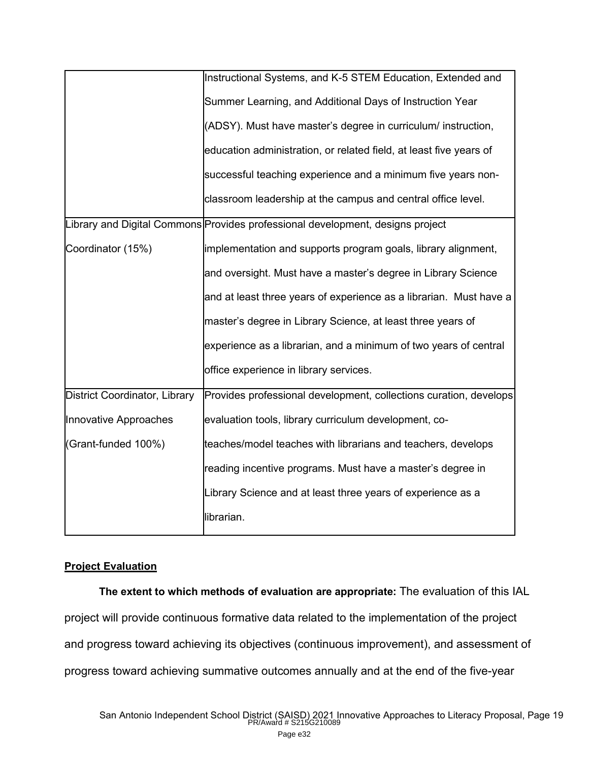|                               | Instructional Systems, and K-5 STEM Education, Extended and                    |
|-------------------------------|--------------------------------------------------------------------------------|
|                               | Summer Learning, and Additional Days of Instruction Year                       |
|                               | (ADSY). Must have master's degree in curriculum/ instruction,                  |
|                               | education administration, or related field, at least five years of             |
|                               | successful teaching experience and a minimum five years non-                   |
|                               | classroom leadership at the campus and central office level.                   |
|                               | Library and Digital Commons Provides professional development, designs project |
| Coordinator (15%)             | implementation and supports program goals, library alignment,                  |
|                               | and oversight. Must have a master's degree in Library Science                  |
|                               | and at least three years of experience as a librarian. Must have a             |
|                               | master's degree in Library Science, at least three years of                    |
|                               | experience as a librarian, and a minimum of two years of central               |
|                               | office experience in library services.                                         |
| District Coordinator, Library | Provides professional development, collections curation, develops              |
| Innovative Approaches         | evaluation tools, library curriculum development, co-                          |
| (Grant-funded 100%)           | teaches/model teaches with librarians and teachers, develops                   |
|                               | reading incentive programs. Must have a master's degree in                     |
|                               | Library Science and at least three years of experience as a                    |
|                               | librarian.                                                                     |

# **Project Evaluation**

**The extent to which methods of evaluation are appropriate:** The evaluation of this IAL project will provide continuous formative data related to the implementation of the project and progress toward achieving its objectives (continuous improvement), and assessment of progress toward achieving summative outcomes annually and at the end of the five-year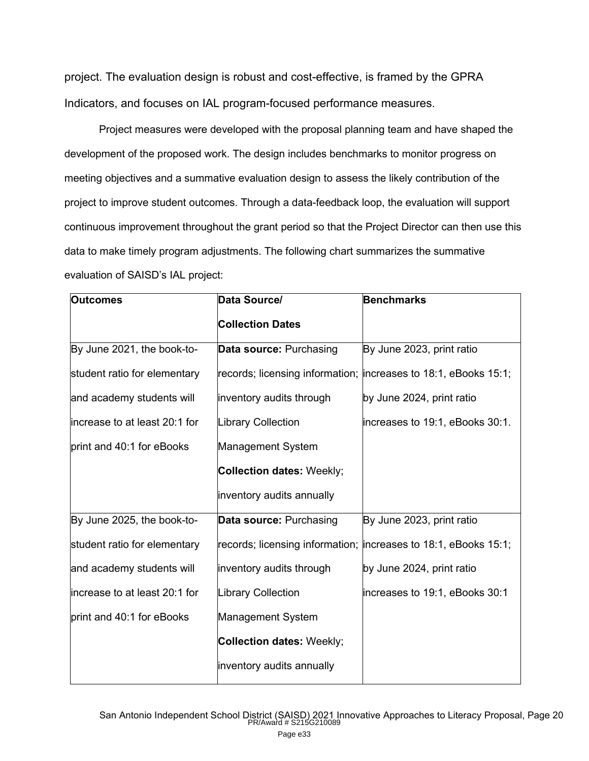project. The evaluation design is robust and cost-effective, is framed by the GPRA Indicators, and focuses on IAL program-focused performance measures.

Project measures were developed with the proposal planning team and have shaped the development of the proposed work. The design includes benchmarks to monitor progress on meeting objectives and a summative evaluation design to assess the likely contribution of the project to improve student outcomes. Through a data-feedback loop, the evaluation will support continuous improvement throughout the grant period so that the Project Director can then use this data to make timely program adjustments. The following chart summarizes the summative evaluation of SAISD's IAL project:

| <b>Outcomes</b>               | Data Source/<br><b>Benchmarks</b> |                                                                  |
|-------------------------------|-----------------------------------|------------------------------------------------------------------|
|                               | <b>Collection Dates</b>           |                                                                  |
| By June 2021, the book-to-    | Data source: Purchasing           | By June 2023, print ratio                                        |
| student ratio for elementary  |                                   | records; licensing information; lincreases to 18:1, eBooks 15:1; |
| and academy students will     | inventory audits through          | by June 2024, print ratio                                        |
| increase to at least 20:1 for | <b>Library Collection</b>         | lincreases to 19:1, eBooks 30:1.                                 |
| print and 40:1 for eBooks     | Management System                 |                                                                  |
|                               | <b>Collection dates: Weekly;</b>  |                                                                  |
|                               | inventory audits annually         |                                                                  |
| By June 2025, the book-to-    | Data source: Purchasing           | By June 2023, print ratio                                        |
| student ratio for elementary  |                                   | records; licensing information; lincreases to 18:1, eBooks 15:1; |
| and academy students will     | inventory audits through          | by June 2024, print ratio                                        |
| increase to at least 20:1 for | <b>Library Collection</b>         | lincreases to 19:1, eBooks 30:1                                  |
| print and 40:1 for eBooks     | Management System                 |                                                                  |
|                               | <b>Collection dates: Weekly;</b>  |                                                                  |
|                               | inventory audits annually         |                                                                  |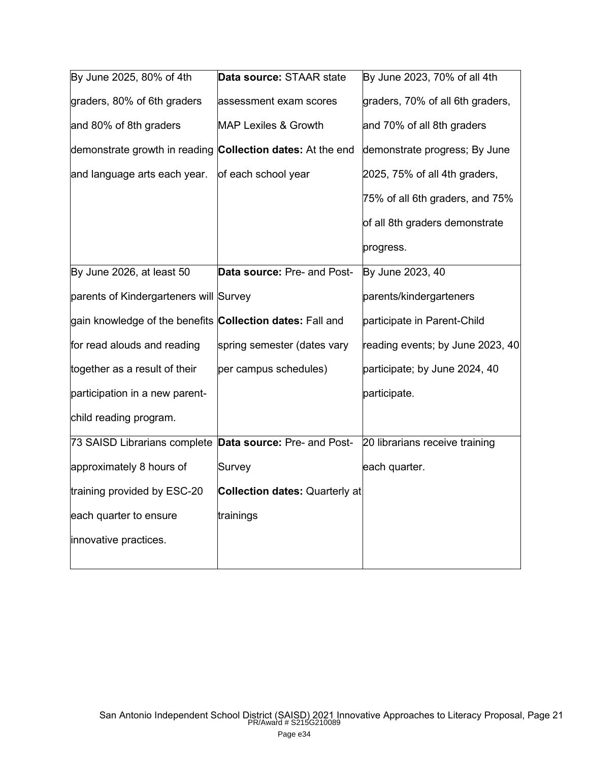| By June 2025, 80% of 4th                                          | Data source: STAAR state              | By June 2023, 70% of all 4th     |
|-------------------------------------------------------------------|---------------------------------------|----------------------------------|
| graders, 80% of 6th graders                                       | assessment exam scores                | graders, 70% of all 6th graders, |
| and 80% of 8th graders                                            | <b>MAP Lexiles &amp; Growth</b>       | and 70% of all 8th graders       |
| demonstrate growth in reading <b>Collection dates:</b> At the end |                                       | demonstrate progress; By June    |
| and language arts each year.                                      | of each school year                   | 2025, 75% of all 4th graders,    |
|                                                                   |                                       | 75% of all 6th graders, and 75%  |
|                                                                   |                                       | of all 8th graders demonstrate   |
|                                                                   |                                       | progress.                        |
| By June 2026, at least 50                                         | Data source: Pre- and Post-           | By June 2023, 40                 |
| parents of Kindergarteners will Survey                            |                                       | parents/kindergarteners          |
| gain knowledge of the benefits Collection dates: Fall and         |                                       | participate in Parent-Child      |
| for read alouds and reading                                       | spring semester (dates vary           | reading events; by June 2023, 40 |
| together as a result of their                                     | per campus schedules)                 | participate; by June 2024, 40    |
| participation in a new parent-                                    |                                       | participate.                     |
| child reading program.                                            |                                       |                                  |
| 73 SAISD Librarians complete Data source: Pre- and Post-          |                                       | 20 librarians receive training   |
| approximately 8 hours of                                          | Survey                                | each quarter.                    |
| training provided by ESC-20                                       | <b>Collection dates: Quarterly at</b> |                                  |
| each quarter to ensure                                            | trainings                             |                                  |
| innovative practices.                                             |                                       |                                  |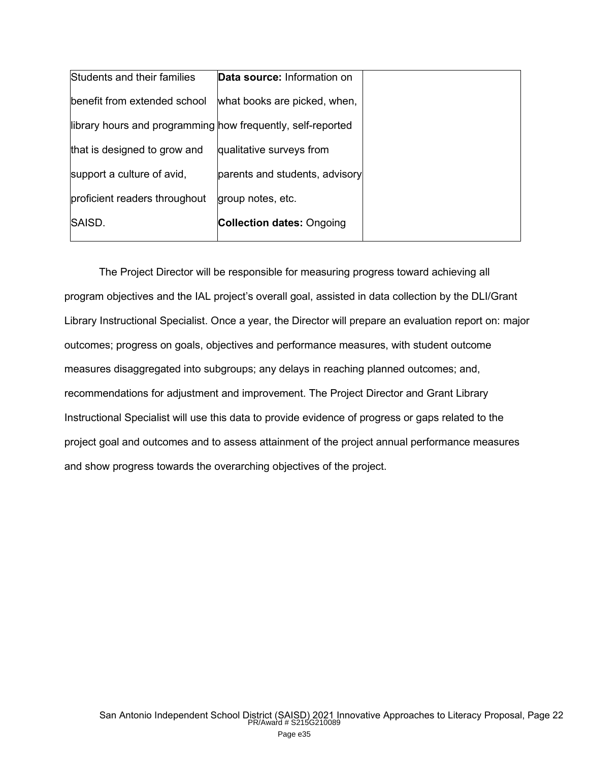| <b>Data source:</b> Information on                          |                                |
|-------------------------------------------------------------|--------------------------------|
| what books are picked, when,                                |                                |
| library hours and programming how frequently, self-reported |                                |
| qualitative surveys from                                    |                                |
|                                                             |                                |
| group notes, etc.                                           |                                |
| <b>Collection dates: Ongoing</b>                            |                                |
|                                                             | parents and students, advisory |

The Project Director will be responsible for measuring progress toward achieving all program objectives and the IAL project's overall goal, assisted in data collection by the DLI/Grant Library Instructional Specialist. Once a year, the Director will prepare an evaluation report on: major outcomes; progress on goals, objectives and performance measures, with student outcome measures disaggregated into subgroups; any delays in reaching planned outcomes; and, recommendations for adjustment and improvement. The Project Director and Grant Library Instructional Specialist will use this data to provide evidence of progress or gaps related to the project goal and outcomes and to assess attainment of the project annual performance measures and show progress towards the overarching objectives of the project.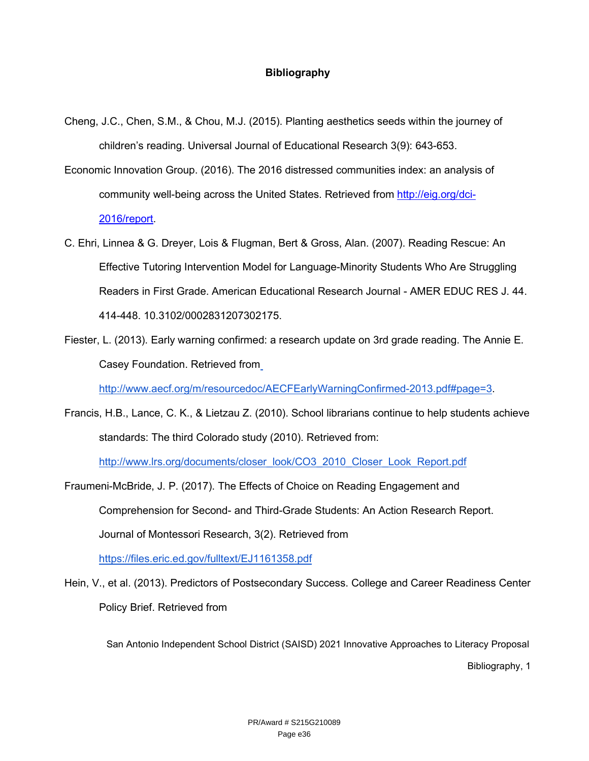## **Bibliography**

- Cheng, J.C., Chen, S.M., & Chou, M.J. (2015). Planting aesthetics seeds within the journey of children's reading. Universal Journal of Educational Research 3(9): 643-653.
- Economic Innovation Group. (2016). The 2016 distressed communities index: an analysis of community well-being across the United States. Retrieved from http://eig.org/dci-2016/report.
- C. Ehri, Linnea & G. Dreyer, Lois & Flugman, Bert & Gross, Alan. (2007). Reading Rescue: An Effective Tutoring Intervention Model for Language-Minority Students Who Are Struggling Readers in First Grade. American Educational Research Journal - AMER EDUC RES J. 44. 414-448. 10.3102/0002831207302175.
- Fiester, L. (2013). Early warning confirmed: a research update on 3rd grade reading. The Annie E. Casey Foundation. Retrieved from

http://www.aecf.org/m/resourcedoc/AECFEarlyWarningConfirmed-2013.pdf#page=3.

Francis, H.B., Lance, C. K., & Lietzau Z. (2010). School librarians continue to help students achieve standards: The third Colorado study (2010). Retrieved from:

http://www.lrs.org/documents/closer\_look/CO3\_2010\_Closer\_Look\_Report.pdf

Fraumeni-McBride, J. P. (2017). The Effects of Choice on Reading Engagement and Comprehension for Second- and Third-Grade Students: An Action Research Report. Journal of Montessori Research, 3(2). Retrieved from

https://files.eric.ed.gov/fulltext/EJ1161358.pdf

Hein, V., et al. (2013). Predictors of Postsecondary Success. College and Career Readiness Center Policy Brief. Retrieved from

San Antonio Independent School District (SAISD) 2021 Innovative Approaches to Literacy Proposal

Bibliography, 1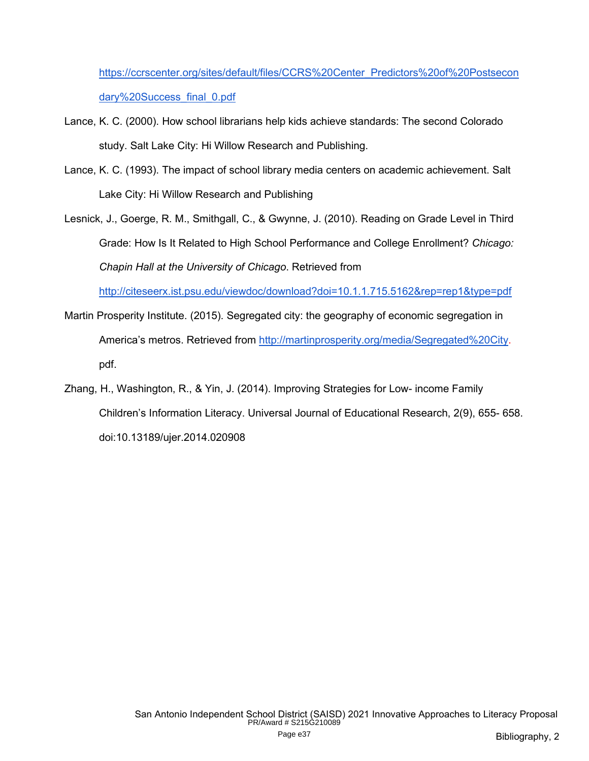https://ccrscenter.org/sites/default/files/CCRS%20Center\_Predictors%20of%20Postsecon dary%20Success\_final\_0.pdf

- Lance, K. C. (2000). How school librarians help kids achieve standards: The second Colorado study. Salt Lake City: Hi Willow Research and Publishing.
- Lance, K. C. (1993). The impact of school library media centers on academic achievement. Salt Lake City: Hi Willow Research and Publishing
- Lesnick, J., Goerge, R. M., Smithgall, C., & Gwynne, J. (2010). Reading on Grade Level in Third Grade: How Is It Related to High School Performance and College Enrollment? *Chicago: Chapin Hall at the University of Chicago*. Retrieved from

http://citeseerx.ist.psu.edu/viewdoc/download?doi=10.1.1.715.5162&rep=rep1&type=pdf

- Martin Prosperity Institute. (2015). Segregated city: the geography of economic segregation in America's metros. Retrieved from http://martinprosperity.org/media/Segregated%20City. pdf.
- Zhang, H., Washington, R., & Yin, J. (2014). Improving Strategies for Low- income Family Children's Information Literacy. Universal Journal of Educational Research, 2(9), 655- 658. doi:10.13189/ujer.2014.020908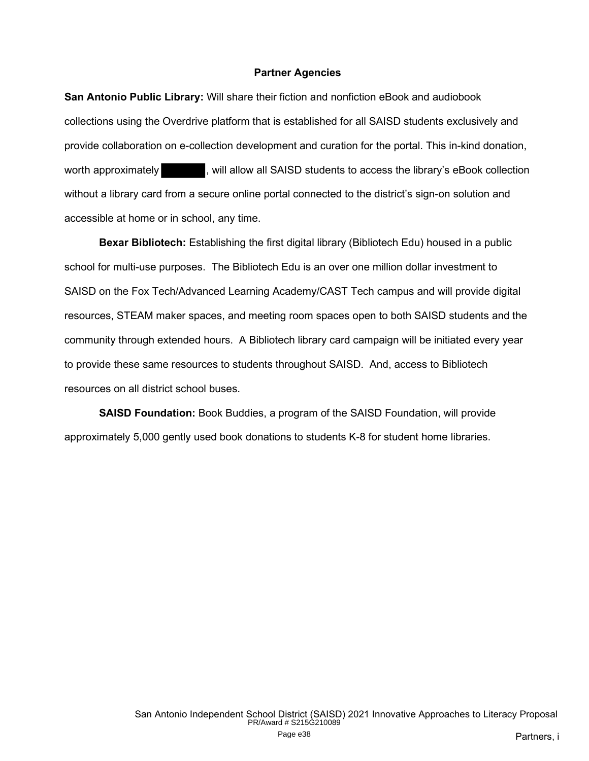#### **Partner Agencies**

**San Antonio Public Library:** Will share their fiction and nonfiction eBook and audiobook collections using the Overdrive platform that is established for all SAISD students exclusively and provide collaboration on e-collection development and curation for the portal. This in-kind donation, worth approximately **the students** concrete in SAISD students to access the library's eBook collection without a library card from a secure online portal connected to the district's sign-on solution and accessible at home or in school, any time.

**Bexar Bibliotech:** Establishing the first digital library (Bibliotech Edu) housed in a public school for multi-use purposes. The Bibliotech Edu is an over one million dollar investment to SAISD on the Fox Tech/Advanced Learning Academy/CAST Tech campus and will provide digital resources, STEAM maker spaces, and meeting room spaces open to both SAISD students and the community through extended hours. A Bibliotech library card campaign will be initiated every year to provide these same resources to students throughout SAISD. And, access to Bibliotech resources on all district school buses.

**SAISD Foundation:** Book Buddies, a program of the SAISD Foundation, will provide approximately 5,000 gently used book donations to students K-8 for student home libraries.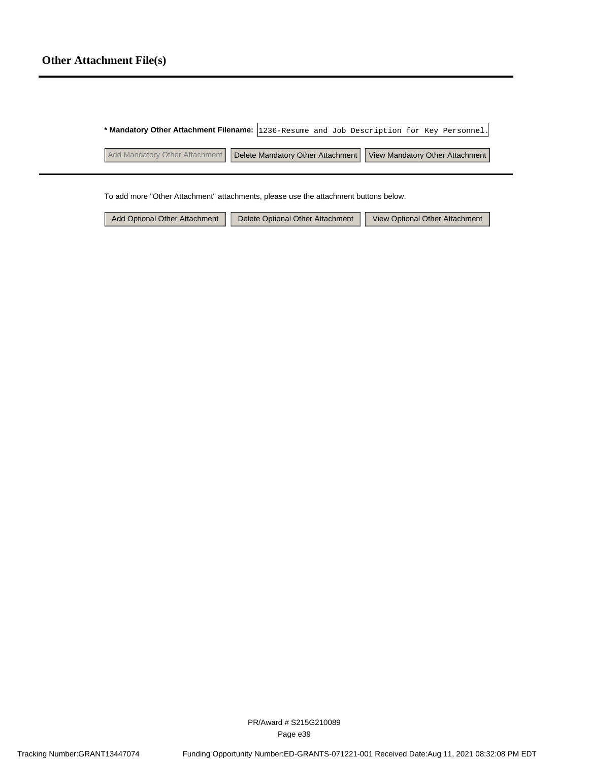| * Mandatory Other Attachment Filename: 1236-Resume and Job Description for Key Personnel.            |  |  |  |  |  |
|------------------------------------------------------------------------------------------------------|--|--|--|--|--|
| Add Mandatory Other Attachment   Delete Mandatory Other Attachment   View Mandatory Other Attachment |  |  |  |  |  |

To add more "Other Attachment" attachments, please use the attachment buttons below.

Add Optional Other Attachment | Delete Optional Other Attachment | View Optional Other Attachment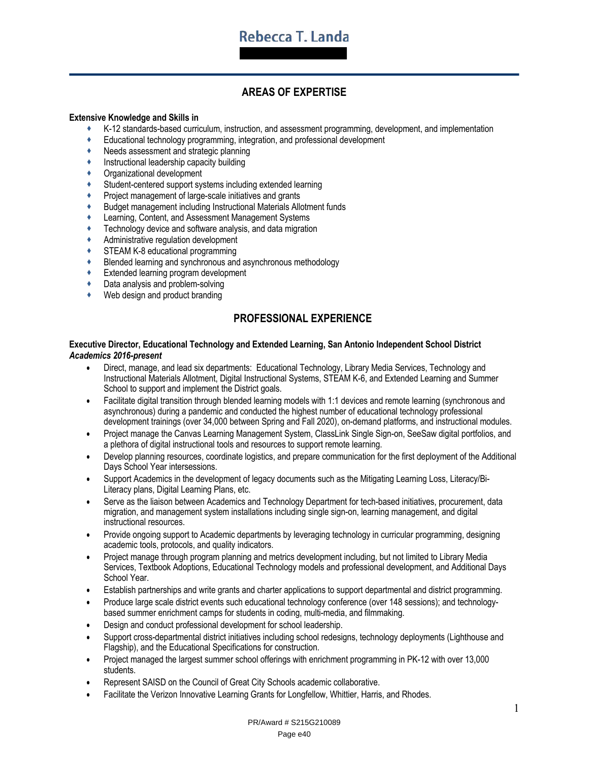

# **AREAS OF EXPERTISE**

#### **Extensive Knowledge and Skills in**

- · K-12 standards-based curriculum, instruction, and assessment programming, development, and implementation
- Educational technology programming, integration, and professional development
- · Needs assessment and strategic planning
- · Instructional leadership capacity building
- · Organizational development
- Student-centered support systems including extended learning
- Project management of large-scale initiatives and grants
- · Budget management including Instructional Materials Allotment funds
- Learning, Content, and Assessment Management Systems
- Technology device and software analysis, and data migration
- Administrative regulation development
- STEAM K-8 educational programming
- Blended learning and synchronous and asynchronous methodology
- · Extended learning program development
- Data analysis and problem-solving
- Web design and product branding

# **PROFESSIONAL EXPERIENCE**

#### **Executive Director, Educational Technology and Extended Learning, San Antonio Independent School District** *Academics 2016-present*

- Direct, manage, and lead six departments: Educational Technology, Library Media Services, Technology and Instructional Materials Allotment, Digital Instructional Systems, STEAM K-6, and Extended Learning and Summer School to support and implement the District goals.
- Facilitate digital transition through blended learning models with 1:1 devices and remote learning (synchronous and asynchronous) during a pandemic and conducted the highest number of educational technology professional development trainings (over 34,000 between Spring and Fall 2020), on-demand platforms, and instructional modules.
- Project manage the Canvas Learning Management System, ClassLink Single Sign-on, SeeSaw digital portfolios, and a plethora of digital instructional tools and resources to support remote learning.
- Develop planning resources, coordinate logistics, and prepare communication for the first deployment of the Additional Days School Year intersessions.
- Support Academics in the development of legacy documents such as the Mitigating Learning Loss, Literacy/Bi-Literacy plans, Digital Learning Plans, etc.
- Serve as the liaison between Academics and Technology Department for tech-based initiatives, procurement, data migration, and management system installations including single sign-on, learning management, and digital instructional resources.
- Provide ongoing support to Academic departments by leveraging technology in curricular programming, designing academic tools, protocols, and quality indicators.
- Project manage through program planning and metrics development including, but not limited to Library Media Services, Textbook Adoptions, Educational Technology models and professional development, and Additional Days School Year.
- Establish partnerships and write grants and charter applications to support departmental and district programming.
- Produce large scale district events such educational technology conference (over 148 sessions); and technologybased summer enrichment camps for students in coding, multi-media, and filmmaking.
- Design and conduct professional development for school leadership.
- Support cross-departmental district initiatives including school redesigns, technology deployments (Lighthouse and Flagship), and the Educational Specifications for construction.
- Project managed the largest summer school offerings with enrichment programming in PK-12 with over 13,000 students.
- Represent SAISD on the Council of Great City Schools academic collaborative.
- Facilitate the Verizon Innovative Learning Grants for Longfellow, Whittier, Harris, and Rhodes.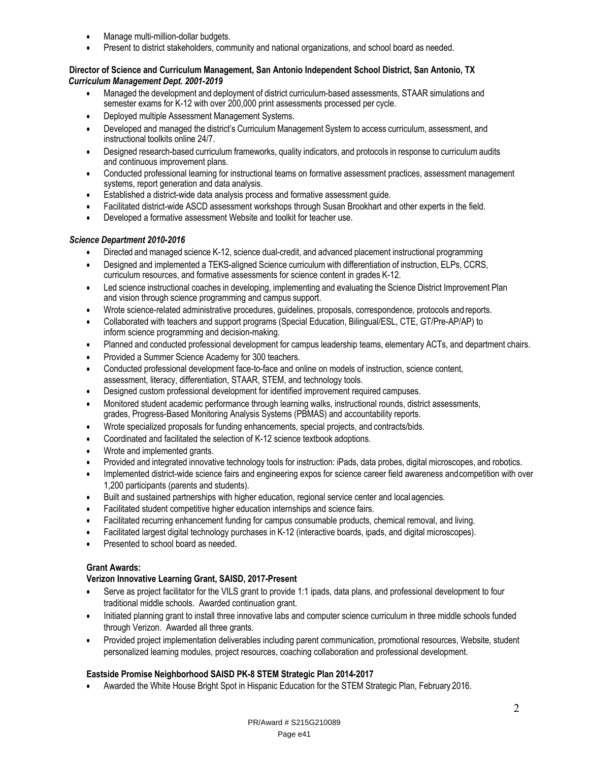- Manage multi-million-dollar budgets.
- Present to district stakeholders, community and national organizations, and school board as needed.

#### **Director of Science and Curriculum Management, San Antonio Independent School District, San Antonio, TX** *Curriculum Management Dept. 2001-2019*

- Managed the development and deployment of district curriculum-based assessments, STAAR simulations and semester exams for K-12 with over 200,000 print assessments processed per cycle.
- Deployed multiple Assessment Management Systems.
- Developed and managed the district's Curriculum Management System to access curriculum, assessment, and instructional toolkits online 24/7.
- Designed research-based curriculum frameworks, quality indicators, and protocols in response to curriculum audits and continuous improvement plans.
- Conducted professional learning for instructional teams on formative assessment practices, assessment management systems, report generation and data analysis.
- Established a district-wide data analysis process and formative assessment guide.
- Facilitated district-wide ASCD assessment workshops through Susan Brookhart and other experts in the field.
- Developed a formative assessment Website and toolkit for teacher use.

#### *Science Department 2010-2016*

- Directed and managed science K-12, science dual-credit, and advanced placement instructional programming
- Designed and implemented a TEKS-aligned Science curriculum with differentiation of instruction, ELPs, CCRS, curriculum resources, and formative assessments for science content in grades K-12.
- Led science instructional coaches in developing, implementing and evaluating the Science District Improvement Plan and vision through science programming and campus support.
- Wrote science-related administrative procedures, guidelines, proposals, correspondence, protocols andreports.
- Collaborated with teachers and support programs (Special Education, Bilingual/ESL, CTE, GT/Pre-AP/AP) to inform science programming and decision-making.
- Planned and conducted professional development for campus leadership teams, elementary ACTs, and department chairs.
- Provided a Summer Science Academy for 300 teachers.
- Conducted professional development face-to-face and online on models of instruction, science content, assessment, literacy, differentiation, STAAR, STEM, and technology tools.
- Designed custom professional development for identified improvement required campuses.
- Monitored student academic performance through learning walks, instructional rounds, district assessments, grades, Progress-Based Monitoring Analysis Systems (PBMAS) and accountability reports.
- Wrote specialized proposals for funding enhancements, special projects, and contracts/bids.
- Coordinated and facilitated the selection of K-12 science textbook adoptions.
- Wrote and implemented grants.
- Provided and integrated innovative technology tools for instruction: iPads, data probes, digital microscopes, and robotics.
- Implemented district-wide science fairs and engineering expos for science career field awareness andcompetition with over 1,200 participants (parents and students).
- Built and sustained partnerships with higher education, regional service center and localagencies.
- Facilitated student competitive higher education internships and science fairs.
- Facilitated recurring enhancement funding for campus consumable products, chemical removal, and living.
- Facilitated largest digital technology purchases in K-12 (interactive boards, ipads, and digital microscopes).
- Presented to school board as needed.

## **Grant Awards:**

## **Verizon Innovative Learning Grant, SAISD, 2017-Present**

- Serve as project facilitator for the VILS grant to provide 1:1 ipads, data plans, and professional development to four traditional middle schools. Awarded continuation grant.
- Initiated planning grant to install three innovative labs and computer science curriculum in three middle schools funded through Verizon. Awarded all three grants.
- Provided project implementation deliverables including parent communication, promotional resources, Website, student personalized learning modules, project resources, coaching collaboration and professional development.

## **Eastside Promise Neighborhood SAISD PK-8 STEM Strategic Plan 2014-2017**

• Awarded the White House Bright Spot in Hispanic Education for the STEM Strategic Plan, February 2016.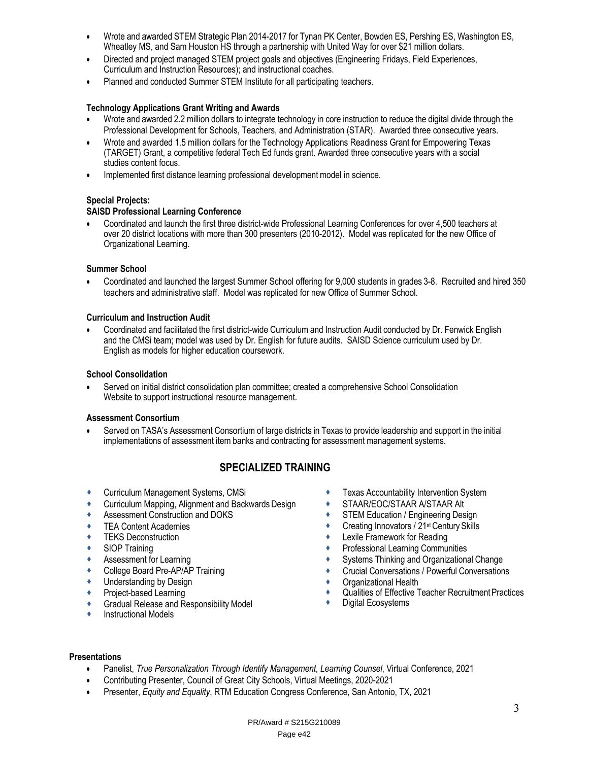- Wrote and awarded STEM Strategic Plan 2014-2017 for Tynan PK Center, Bowden ES, Pershing ES, Washington ES, Wheatley MS, and Sam Houston HS through a partnership with United Way for over \$21 million dollars.
- Directed and project managed STEM project goals and objectives (Engineering Fridays, Field Experiences, Curriculum and Instruction Resources); and instructional coaches.
- Planned and conducted Summer STEM Institute for all participating teachers.

#### **Technology Applications Grant Writing and Awards**

- Wrote and awarded 2.2 million dollars to integrate technology in core instruction to reduce the digital divide through the Professional Development for Schools, Teachers, and Administration (STAR). Awarded three consecutive years.
- Wrote and awarded 1.5 million dollars for the Technology Applications Readiness Grant for Empowering Texas (TARGET) Grant, a competitive federal Tech Ed funds grant. Awarded three consecutive years with a social studies content focus.
- Implemented first distance learning professional development model in science.

#### **Special Projects:**

#### **SAISD Professional Learning Conference**

• Coordinated and launch the first three district-wide Professional Learning Conferences for over 4,500 teachers at over 20 district locations with more than 300 presenters (2010-2012). Model was replicated for the new Office of Organizational Learning.

#### **Summer School**

• Coordinated and launched the largest Summer School offering for 9,000 students in grades 3-8. Recruited and hired 350 teachers and administrative staff. Model was replicated for new Office of Summer School.

#### **Curriculum and Instruction Audit**

• Coordinated and facilitated the first district-wide Curriculum and Instruction Audit conducted by Dr. Fenwick English and the CMSi team; model was used by Dr. English for future audits. SAISD Science curriculum used by Dr. English as models for higher education coursework.

#### **School Consolidation**

• Served on initial district consolidation plan committee; created a comprehensive School Consolidation Website to support instructional resource management.

#### **Assessment Consortium**

• Served on TASA's Assessment Consortium of large districts in Texas to provide leadership and support in the initial implementations of assessment item banks and contracting for assessment management systems.

## **SPECIALIZED TRAINING**

- · Curriculum Management Systems, CMSi
- · Curriculum Mapping, Alignment and Backwards Design
- Assessment Construction and DOKS
- · TEA Content Academies
- · TEKS Deconstruction
- · SIOP Training
- · Assessment for Learning
- College Board Pre-AP/AP Training
- Understanding by Design
- · Project-based Learning
- · Gradual Release and Responsibility Model
- **Instructional Models**
- Texas Accountability Intervention System
- · STAAR/EOC/STAAR A/STAAR Alt
- STEM Education / Engineering Design
- Creating Innovators / 21<sup>st</sup> Century Skills
- · Lexile Framework for Reading
- · Professional Learning Communities
- · Systems Thinking and Organizational Change
- · Crucial Conversations / Powerful Conversations
- · Organizational Health
- Qualities of Effective Teacher Recruitment Practices
- Digital Ecosystems

#### **Presentations**

- Panelist, *True Personalization Through Identify Management, Learning Counsel*, Virtual Conference, 2021
- Contributing Presenter, Council of Great City Schools, Virtual Meetings, 2020-2021
- Presenter, *Equity and Equality*, RTM Education Congress Conference, San Antonio, TX, 2021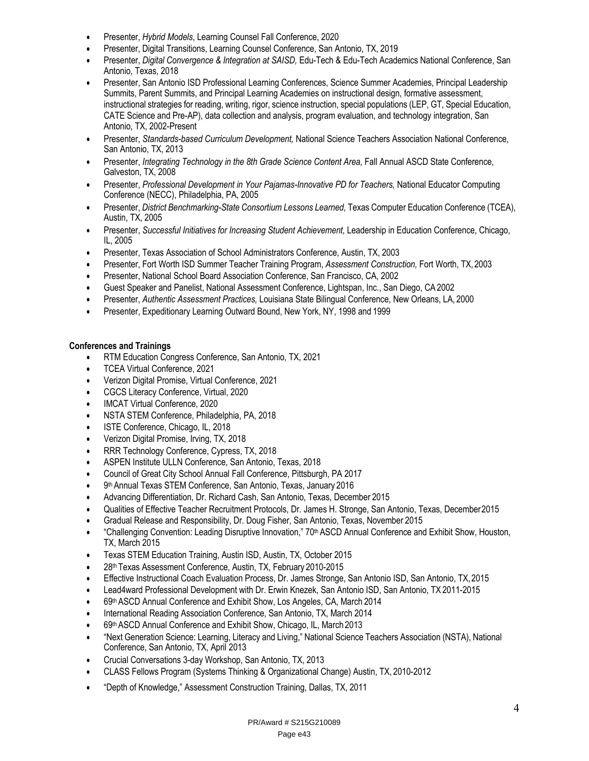- Presenter, *Hybrid Models*, Learning Counsel Fall Conference, 2020
- Presenter, Digital Transitions, Learning Counsel Conference, San Antonio, TX, 2019
- Presenter, *Digital Convergence & Integration at SAISD,* Edu-Tech & Edu-Tech Academics National Conference, San Antonio, Texas, 2018
- Presenter, San Antonio ISD Professional Learning Conferences, Science Summer Academies, Principal Leadership Summits, Parent Summits, and Principal Learning Academies on instructional design, formative assessment, instructional strategies for reading, writing, rigor, science instruction, special populations (LEP, GT, Special Education, CATE Science and Pre-AP), data collection and analysis, program evaluation, and technology integration, San Antonio, TX, 2002-Present
- Presenter, *Standards-based Curriculum Development,* National Science Teachers Association National Conference, San Antonio, TX, 2013
- Presenter, *Integrating Technology in the 8th Grade Science Content Area*, Fall Annual ASCD State Conference, Galveston, TX, 2008
- Presenter, *Professional Development in Your Pajamas-Innovative PD for Teachers,* National Educator Computing Conference (NECC), Philadelphia, PA, 2005
- Presenter, *District Benchmarking-State Consortium Lessons Learned,* Texas Computer Education Conference (TCEA), Austin, TX, 2005
- Presenter, *Successful Initiatives for Increasing Student Achievement,* Leadership in Education Conference, Chicago, IL, 2005
- Presenter, Texas Association of School Administrators Conference, Austin, TX, 2003
- Presenter, Fort Worth ISD Summer Teacher Training Program, *Assessment Construction,* Fort Worth, TX,2003
- Presenter, National School Board Association Conference, San Francisco, CA, 2002
- Guest Speaker and Panelist, National Assessment Conference, Lightspan, Inc., San Diego, CA2002
- Presenter, *Authentic Assessment Practices,* Louisiana State Bilingual Conference, New Orleans, LA, 2000
- Presenter, Expeditionary Learning Outward Bound, New York, NY, 1998 and 1999

## **Conferences and Trainings**

- RTM Education Congress Conference, San Antonio, TX, 2021
- TCEA Virtual Conference, 2021
- Verizon Digital Promise, Virtual Conference, 2021
- CGCS Literacy Conference, Virtual, 2020
- IMCAT Virtual Conference, 2020
- NSTA STEM Conference, Philadelphia, PA, 2018
- ISTE Conference, Chicago, IL, 2018
- Verizon Digital Promise, Irving, TX, 2018
- RRR Technology Conference, Cypress, TX, 2018
- ASPEN Institute ULLN Conference, San Antonio, Texas, 2018
- Council of Great City School Annual Fall Conference, Pittsburgh, PA 2017
- 9th Annual Texas STEM Conference, San Antonio, Texas, January 2016
- Advancing Differentiation, Dr. Richard Cash, San Antonio, Texas, December 2015
- Qualities of Effective Teacher Recruitment Protocols, Dr. James H. Stronge, San Antonio, Texas, December2015
- Gradual Release and Responsibility, Dr. Doug Fisher, San Antonio, Texas, November 2015
- "Challenging Convention: Leading Disruptive Innovation," 70th ASCD Annual Conference and Exhibit Show, Houston, TX, March 2015
- Texas STEM Education Training, Austin ISD, Austin, TX, October 2015
- 28<sup>th</sup> Texas Assessment Conference, Austin, TX, February 2010-2015
- Effective Instructional Coach Evaluation Process, Dr. James Stronge, San Antonio ISD, San Antonio, TX,2015
- Lead4ward Professional Development with Dr. Erwin Knezek, San Antonio ISD, San Antonio, TX 2011-2015
- 69th ASCD Annual Conference and Exhibit Show, Los Angeles, CA, March 2014
- International Reading Association Conference, San Antonio, TX, March 2014
- 69th ASCD Annual Conference and Exhibit Show, Chicago, IL, March 2013
- "Next Generation Science: Learning, Literacy and Living," National Science Teachers Association (NSTA), National Conference, San Antonio, TX, April 2013
- Crucial Conversations 3-day Workshop, San Antonio, TX, 2013
- CLASS Fellows Program (Systems Thinking & Organizational Change) Austin, TX, 2010-2012
- "Depth of Knowledge," Assessment Construction Training, Dallas, TX, 2011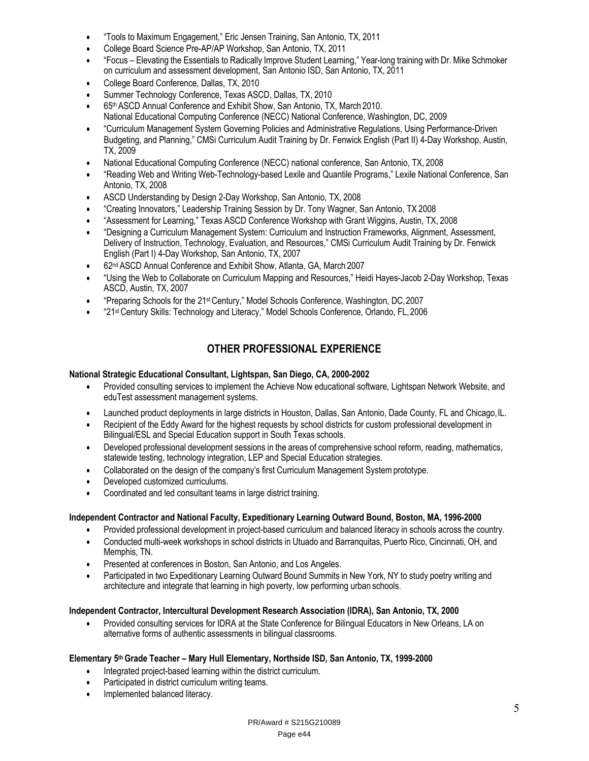- "Tools to Maximum Engagement," Eric Jensen Training, San Antonio, TX, 2011
- College Board Science Pre-AP/AP Workshop, San Antonio, TX, 2011
- "Focus Elevating the Essentials to Radically Improve Student Learning," Year-long training with Dr. Mike Schmoker on curriculum and assessment development, San Antonio ISD, San Antonio, TX, 2011
- College Board Conference, Dallas, TX, 2010
- Summer Technology Conference, Texas ASCD, Dallas, TX, 2010
- 65th ASCD Annual Conference and Exhibit Show, San Antonio, TX, March 2010. National Educational Computing Conference (NECC) National Conference, Washington, DC, 2009
- "Curriculum Management System Governing Policies and Administrative Regulations, Using Performance-Driven Budgeting, and Planning," CMSi Curriculum Audit Training by Dr. Fenwick English (Part II) 4-Day Workshop, Austin, TX, 2009
- National Educational Computing Conference (NECC) national conference, San Antonio, TX, 2008
- "Reading Web and Writing Web-Technology-based Lexile and Quantile Programs," Lexile National Conference, San Antonio, TX, 2008
- ASCD Understanding by Design 2-Day Workshop, San Antonio, TX, 2008
- "Creating Innovators," Leadership Training Session by Dr. Tony Wagner, San Antonio, TX 2008
- "Assessment for Learning," Texas ASCD Conference Workshop with Grant Wiggins, Austin, TX, 2008
- "Designing a Curriculum Management System: Curriculum and Instruction Frameworks, Alignment, Assessment, Delivery of Instruction, Technology, Evaluation, and Resources," CMSi Curriculum Audit Training by Dr. Fenwick English (Part I) 4-Day Workshop, San Antonio, TX, 2007
- 62nd ASCD Annual Conference and Exhibit Show, Atlanta, GA, March 2007
- "Using the Web to Collaborate on Curriculum Mapping and Resources," Heidi Hayes-Jacob 2-Day Workshop, Texas ASCD, Austin, TX, 2007
- "Preparing Schools for the 21st Century," Model Schools Conference, Washington, DC,2007
- "21st Century Skills: Technology and Literacy," Model Schools Conference, Orlando, FL,2006

# **OTHER PROFESSIONAL EXPERIENCE**

## **National Strategic Educational Consultant, Lightspan, San Diego, CA, 2000-2002**

- Provided consulting services to implement the Achieve Now educational software, Lightspan Network Website, and eduTest assessment management systems.
- Launched product deployments in large districts in Houston, Dallas, San Antonio, Dade County, FL and Chicago,IL.
- Recipient of the Eddy Award for the highest requests by school districts for custom professional development in Bilingual/ESL and Special Education support in South Texas schools.
- Developed professional development sessions in the areas of comprehensive school reform, reading, mathematics, statewide testing, technology integration, LEP and Special Education strategies.
- Collaborated on the design of the company's first Curriculum Management Systemprototype.
- Developed customized curriculums.
- Coordinated and led consultant teams in large district training.

## **Independent Contractor and National Faculty, Expeditionary Learning Outward Bound, Boston, MA, 1996-2000**

- Provided professional development in project-based curriculum and balanced literacy in schools across the country.
- Conducted multi-week workshops in school districts in Utuado and Barranquitas, Puerto Rico, Cincinnati, OH, and Memphis, TN.
- Presented at conferences in Boston, San Antonio, and Los Angeles.
- Participated in two Expeditionary Learning Outward Bound Summits in New York, NY to study poetry writing and architecture and integrate that learning in high poverty, low performing urban schools.

## **Independent Contractor, Intercultural Development Research Association (IDRA), San Antonio, TX, 2000**

• Provided consulting services for IDRA at the State Conference for Bilingual Educators in New Orleans, LA on alternative forms of authentic assessments in bilingual classrooms.

## **Elementary 5th Grade Teacher – Mary Hull Elementary, Northside ISD, San Antonio, TX, 1999-2000**

- Integrated project-based learning within the district curriculum.
- Participated in district curriculum writing teams.
- Implemented balanced literacy.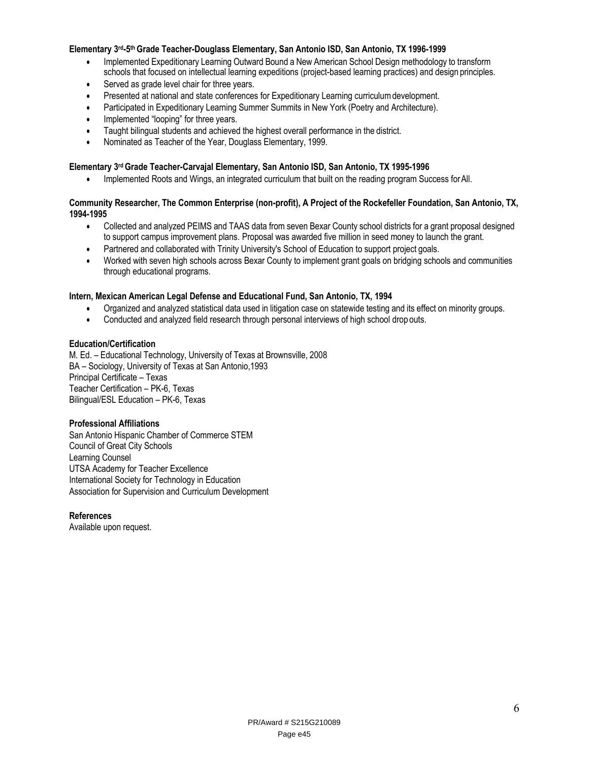#### **Elementary 3rd-5th Grade Teacher-Douglass Elementary, San Antonio ISD, San Antonio, TX 1996-1999**

- Implemented Expeditionary Learning Outward Bound a New American School Design methodology to transform schools that focused on intellectual learning expeditions (project-based learning practices) and design principles.
- Served as grade level chair for three years.
- Presented at national and state conferences for Expeditionary Learning curriculum development.
- Participated in Expeditionary Learning Summer Summits in New York (Poetry and Architecture).
- Implemented "looping" for three years.
- Taught bilingual students and achieved the highest overall performance in the district.
- Nominated as Teacher of the Year, Douglass Elementary, 1999.

#### **Elementary 3rd Grade Teacher-Carvajal Elementary, San Antonio ISD, San Antonio, TX 1995-1996**

• Implemented Roots and Wings, an integrated curriculum that built on the reading program Success forAll.

#### **Community Researcher, The Common Enterprise (non-profit), A Project of the Rockefeller Foundation, San Antonio, TX, 1994-1995**

- Collected and analyzed PEIMS and TAAS data from seven Bexar County school districts for a grant proposal designed to support campus improvement plans. Proposal was awarded five million in seed money to launch the grant.
- Partnered and collaborated with Trinity University's School of Education to support project goals.
- Worked with seven high schools across Bexar County to implement grant goals on bridging schools and communities through educational programs.

#### **Intern, Mexican American Legal Defense and Educational Fund, San Antonio, TX, 1994**

- Organized and analyzed statistical data used in litigation case on statewide testing and its effect on minority groups.
- Conducted and analyzed field research through personal interviews of high school drop outs.

#### **Education/Certification**

M. Ed. – Educational Technology, University of Texas at Brownsville, 2008 BA – Sociology, University of Texas at San Antonio,1993 Principal Certificate – Texas Teacher Certification – PK-6, Texas Bilingual/ESL Education – PK-6, Texas

#### **Professional Affiliations**

San Antonio Hispanic Chamber of Commerce STEM Council of Great City Schools Learning Counsel UTSA Academy for Teacher Excellence International Society for Technology in Education Association for Supervision and Curriculum Development

#### **References**

Available upon request.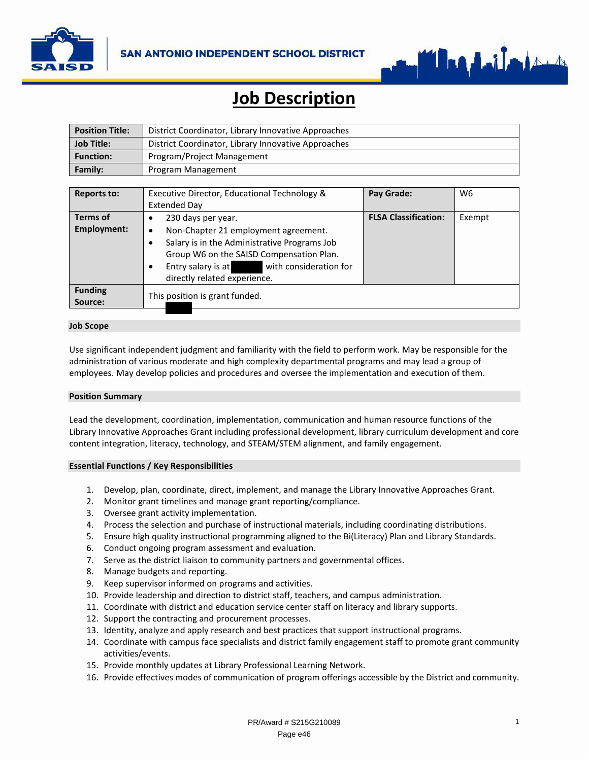



| <b>Position Title:</b> | District Coordinator, Library Innovative Approaches |
|------------------------|-----------------------------------------------------|
| <b>Job Title:</b>      | District Coordinator, Library Innovative Approaches |
| <b>Function:</b>       | Program/Project Management                          |
| <b>Family:</b>         | Program Management                                  |
|                        |                                                     |

| <b>Reports to:</b> | Executive Director, Educational Technology &      | Pay Grade:                  | W6     |  |
|--------------------|---------------------------------------------------|-----------------------------|--------|--|
|                    | <b>Extended Day</b>                               |                             |        |  |
| Terms of           | 230 days per year.                                | <b>FLSA Classification:</b> | Exempt |  |
| Employment:        | Non-Chapter 21 employment agreement.<br>$\bullet$ |                             |        |  |
|                    | Salary is in the Administrative Programs Job      |                             |        |  |
|                    | Group W6 on the SAISD Compensation Plan.          |                             |        |  |
|                    | with consideration for<br>Entry salary is at      |                             |        |  |
|                    | directly related experience.                      |                             |        |  |
| <b>Funding</b>     | This position is grant funded.                    |                             |        |  |
| Source:            |                                                   |                             |        |  |

#### **Job Scope**

Use significant independent judgment and familiarity with the field to perform work. May be responsible for the administration of various moderate and high complexity departmental programs and may lead a group of employees. May develop policies and procedures and oversee the implementation and execution of them.

#### **Position Summary**

Lead the development, coordination, implementation, communication and human resource functions of the Library Innovative Approaches Grant including professional development, library curriculum development and core content integration, literacy, technology, and STEAM/STEM alignment, and family engagement.

#### **Essential Functions / Key Responsibilities**

- 1. Develop, plan, coordinate, direct, implement, and manage the Library Innovative Approaches Grant.
- 2. Monitor grant timelines and manage grant reporting/compliance.
- 3. Oversee grant activity implementation.
- 4. Process the selection and purchase of instructional materials, including coordinating distributions.
- 5. Ensure high quality instructional programming aligned to the Bi(Literacy) Plan and Library Standards.
- 6. Conduct ongoing program assessment and evaluation.
- 7. Serve as the district liaison to community partners and governmental offices.
- 8. Manage budgets and reporting.
- 9. Keep supervisor informed on programs and activities.
- 10. Provide leadership and direction to district staff, teachers, and campus administration.
- 11. Coordinate with district and education service center staff on literacy and library supports.
- 12. Support the contracting and procurement processes.
- 13. Identity, analyze and apply research and best practices that support instructional programs.
- 14. Coordinate with campus face specialists and district family engagement staff to promote grant community activities/events.
- 15. Provide monthly updates at Library Professional Learning Network.
- 16. Provide effectives modes of communication of program offerings accessible by the District and community.

**na Jaila J**A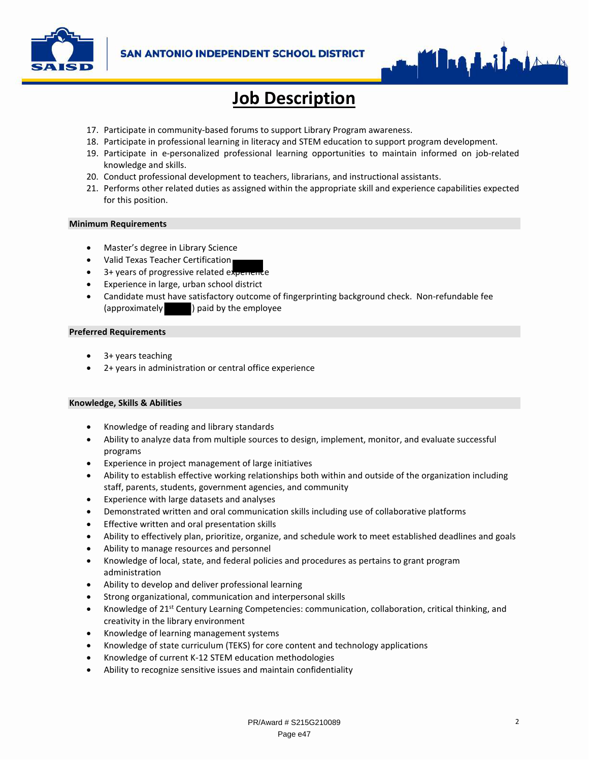



# **Job Description**

- 17. Participate in community-based forums to support Library Program awareness.
- 18. Participate in professional learning in literacy and STEM education to support program development.
- 19. Participate in e-personalized professional learning opportunities to maintain informed on job-related knowledge and skills.
- 20. Conduct professional development to teachers, librarians, and instructional assistants.
- 21. Performs other related duties as assigned within the appropriate skill and experience capabilities expected for this position.

#### **Minimum Requirements**

- Master's degree in Library Science
- Valid Texas Teacher Certification
- 3+ years of progressive related experience
- Experience in large, urban school district
- Candidate must have satisfactory outcome of fingerprinting background check. Non-refundable fee (approximately ) paid by the employee

#### **Preferred Requirements**

- 3+ years teaching
- 2+ years in administration or central office experience

#### **Knowledge, Skills & Abilities**

- Knowledge of reading and library standards
- Ability to analyze data from multiple sources to design, implement, monitor, and evaluate successful programs
- Experience in project management of large initiatives
- Ability to establish effective working relationships both within and outside of the organization including staff, parents, students, government agencies, and community
- Experience with large datasets and analyses
- Demonstrated written and oral communication skills including use of collaborative platforms
- Effective written and oral presentation skills
- Ability to effectively plan, prioritize, organize, and schedule work to meet established deadlines and goals
- Ability to manage resources and personnel
- Knowledge of local, state, and federal policies and procedures as pertains to grant program administration
- Ability to develop and deliver professional learning
- Strong organizational, communication and interpersonal skills
- Knowledge of 21<sup>st</sup> Century Learning Competencies: communication, collaboration, critical thinking, and creativity in the library environment
- Knowledge of learning management systems
- Knowledge of state curriculum (TEKS) for core content and technology applications
- Knowledge of current K-12 STEM education methodologies
- Ability to recognize sensitive issues and maintain confidentiality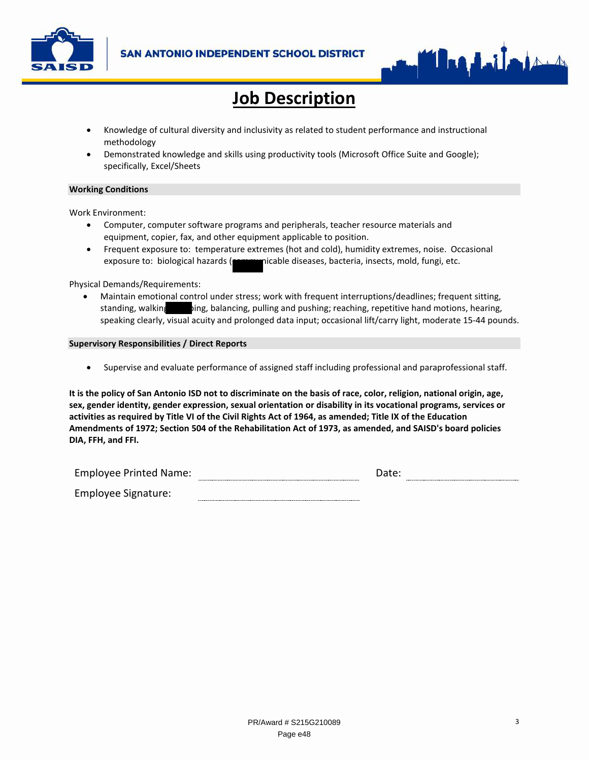



# **Job Description**

- Knowledge of cultural diversity and inclusivity as related to student performance and instructional methodology
- Demonstrated knowledge and skills using productivity tools (Microsoft Office Suite and Google); specifically, Excel/Sheets

#### **Working Conditions**

Work Environment:

- Computer, computer software programs and peripherals, teacher resource materials and equipment, copier, fax, and other equipment applicable to position.
- Frequent exposure to: temperature extremes (hot and cold), humidity extremes, noise. Occasional exposure to: biological hazards (**communicable diseases**, bacteria, insects, mold, fungi, etc.

Physical Demands/Requirements:

• Maintain emotional control under stress; work with frequent interruptions/deadlines; frequent sitting, standing, walking bing, balancing, pulling and pushing; reaching, repetitive hand motions, hearing, speaking clearly, visual acuity and prolonged data input; occasional lift/carry light, moderate 15-44 pounds.

#### **Supervisory Responsibilities / Direct Reports**

• Supervise and evaluate performance of assigned staff including professional and paraprofessional staff.

**It is the policy of San Antonio ISD not to discriminate on the basis of race, color, religion, national origin, age, sex, gender identity, gender expression, sexual orientation or disability in its vocational programs, services or activities as required by Title VI of the Civil Rights Act of 1964, as amended; Title IX of the Education Amendments of 1972; Section 504 of the Rehabilitation Act of 1973, as amended, and SAISD's board policies DIA, FFH, and FFI.** 

| -<br><b>Employee Printed</b><br>Name:<br>---- |  |  |
|-----------------------------------------------|--|--|
|                                               |  |  |

Employee Signature: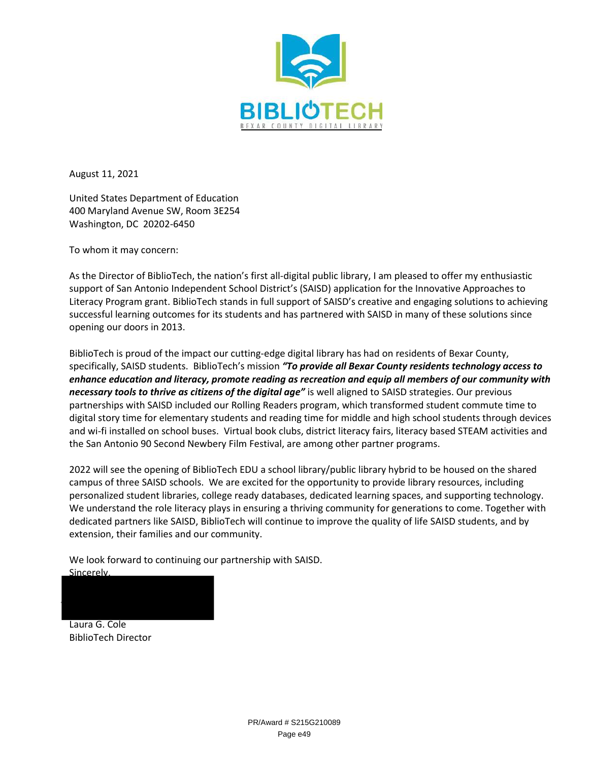

August 11, 2021

United States Department of Education 400 Maryland Avenue SW, Room 3E254 Washington, DC 20202-6450

To whom it may concern:

As the Director of BiblioTech, the nation's first all-digital public library, I am pleased to offer my enthusiastic support of San Antonio Independent School District's (SAISD) application for the Innovative Approaches to Literacy Program grant. BiblioTech stands in full support of SAISD's creative and engaging solutions to achieving successful learning outcomes for its students and has partnered with SAISD in many of these solutions since opening our doors in 2013.

BiblioTech is proud of the impact our cutting-edge digital library has had on residents of Bexar County, specifically, SAISD students. BiblioTech's mission *"To provide all Bexar County residents technology access to enhance education and literacy, promote reading as recreation and equip all members of our community with necessary tools to thrive as citizens of the digital age"* is well aligned to SAISD strategies. Our previous partnerships with SAISD included our Rolling Readers program, which transformed student commute time to digital story time for elementary students and reading time for middle and high school students through devices and wi-fi installed on school buses. Virtual book clubs, district literacy fairs, literacy based STEAM activities and the San Antonio 90 Second Newbery Film Festival, are among other partner programs.

2022 will see the opening of BiblioTech EDU a school library/public library hybrid to be housed on the shared campus of three SAISD schools. We are excited for the opportunity to provide library resources, including personalized student libraries, college ready databases, dedicated learning spaces, and supporting technology. We understand the role literacy plays in ensuring a thriving community for generations to come. Together with dedicated partners like SAISD, BiblioTech will continue to improve the quality of life SAISD students, and by extension, their families and our community.

We look forward to continuing our partnership with SAISD. Sincerely,

Laura G. Cole BiblioTech Director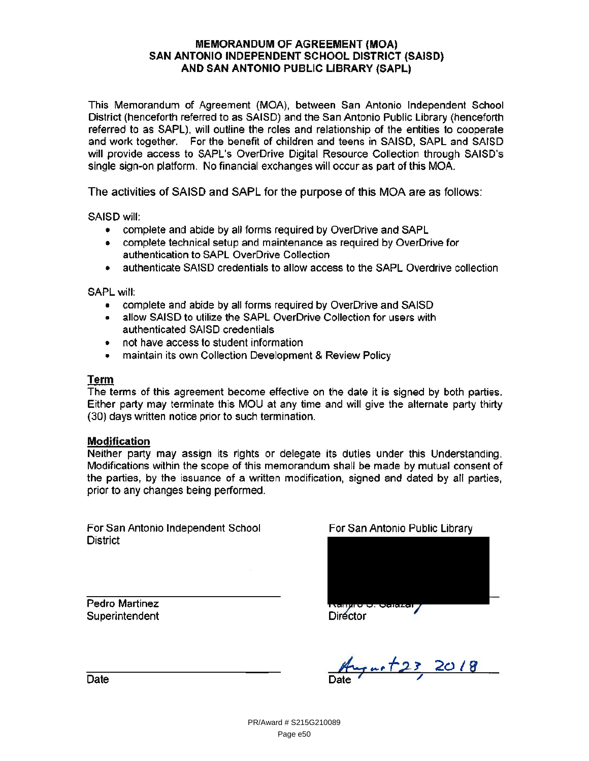## **MEMORANDUM OF AGREEMENT (MOA) SAN ANTONIO INDEPENDENT SCHOOL DISTRICT (SAISD)** AND SAN ANTONIO PUBLIC LIBRARY (SAPL)

This Memorandum of Agreement (MOA), between San Antonio Independent School District (henceforth referred to as SAISD) and the San Antonio Public Library (henceforth referred to as SAPL), will outline the roles and relationship of the entities to cooperate and work together. For the benefit of children and teens in SAISD, SAPL and SAISD will provide access to SAPL's OverDrive Digital Resource Collection through SAISD's single sign-on platform. No financial exchanges will occur as part of this MOA.

The activities of SAISD and SAPL for the purpose of this MOA are as follows:

SAISD will:

- complete and abide by all forms required by OverDrive and SAPL
- complete technical setup and maintenance as required by OverDrive for authentication to SAPL OverDrive Collection
- authenticate SAISD credentials to allow access to the SAPL Overdrive collection

SAPL will:

- complete and abide by all forms required by OverDrive and SAISD
- allow SAISD to utilize the SAPL OverDrive Collection for users with authenticated SAISD credentials
- not have access to student information
- . maintain its own Collection Development & Review Policy

## <u>Term</u>

The terms of this agreement become effective on the date it is signed by both parties. Either party may terminate this MOU at any time and will give the alternate party thirty (30) days written notice prior to such termination.

## **Modification**

Neither party may assign its rights or delegate its duties under this Understanding. Modifications within the scope of this memorandum shall be made by mutual consent of the parties, by the issuance of a written modification, signed and dated by all parties, prior to any changes being performed.

For San Antonio Independent School **District** 

## For San Antonio Public Library

**Director** 

August 23, 2018

Date

Pedro Martinez Superintendent

> PR/Award # S215G210089 Page e50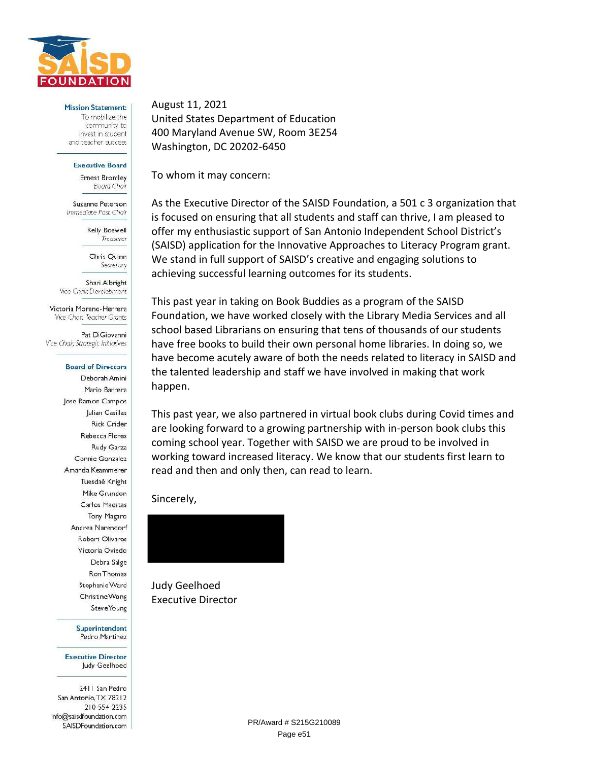

#### **Mission Statement:**

To mobilize the community to invest in student and teacher success.

#### **Executive Board**

**Ernest Bromley** Board Chair

Suzanne Peterson Immediate Past Chair

> Kelly Boswell Treasurer

Chris Quinn Secretary

Shari Albright Vice Chair, Development

Victoria Moreno-Herrera Vice Chair, Teacher Grants

Pat DiGiovanni Vice Chair, Strategic Initiatives

#### **Board of Directors**

Deborah Amini Mario Barrera Jose Ramon Campos Julian Casillas **Rick Crider** Rebecca Flores Rudy Garza Connie Gonzalez Amanda Keammerer Tuesdaé Knight Mike Grundon Carlos Maestas Tony Magaro Andrea Narendorf Robert Olivares Victoria Oviedo Debra Salge **Ron Thomas** Stephanie Ward Christine Wong Steve Young

> Superintendent Pedro Martinez

**Executive Director** Judy Geelhoed

2411 San Pedro San Antonio, TX 78212 210-554-2235 info@saisdfoundation.com SAISDFoundation.com August 11, 2021 United States Department of Education 400 Maryland Avenue SW, Room 3E254 Washington, DC 20202-6450

To whom it may concern:

As the Executive Director of the SAISD Foundation, a 501 c 3 organization that is focused on ensuring that all students and staff can thrive, I am pleased to offer my enthusiastic support of San Antonio Independent School District's (SAISD) application for the Innovative Approaches to Literacy Program grant. We stand in full support of SAISD's creative and engaging solutions to achieving successful learning outcomes for its students.

This past year in taking on Book Buddies as a program of the SAISD Foundation, we have worked closely with the Library Media Services and all school based Librarians on ensuring that tens of thousands of our students have free books to build their own personal home libraries. In doing so, we have become acutely aware of both the needs related to literacy in SAISD and the talented leadership and staff we have involved in making that work happen.

This past year, we also partnered in virtual book clubs during Covid times and are looking forward to a growing partnership with in-person book clubs this coming school year. Together with SAISD we are proud to be involved in working toward increased literacy. We know that our students first learn to read and then and only then, can read to learn.

## Sincerely,

Judy Geelhoed Executive Director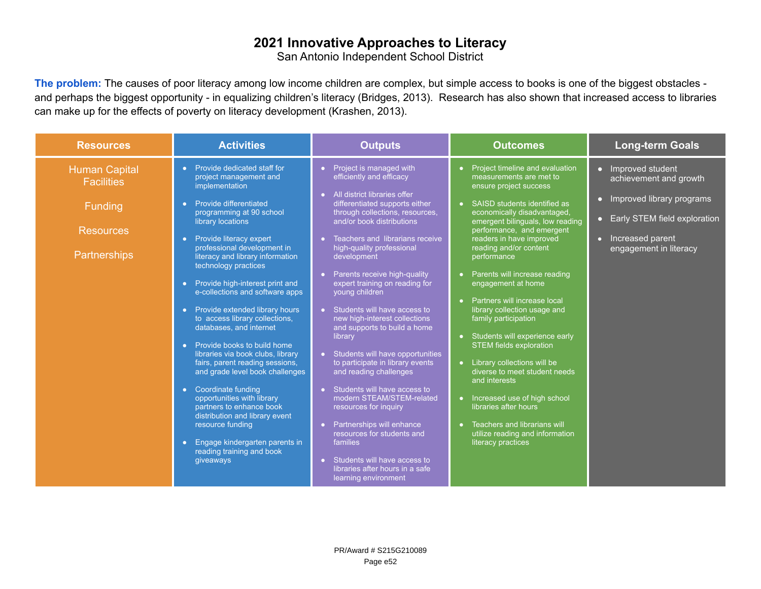# **2021 Innovative Approaches to Literacy**

San Antonio Independent School District

**The problem:** The causes of poor literacy among low income children are complex, but simple access to books is one of the biggest obstacles and perhaps the biggest opportunity - in equalizing children's literacy (Bridges, 2013). Research has also shown that increased access to libraries can make up for the effects of poverty on literacy development (Krashen, 2013).

| <b>Resources</b>                                                                                | <b>Activities</b>                                                                                                                                                                                                                                                                                                                                                                                                                                                                                                                                                                                                                                                                                                                                                                                                                                                                                        | <b>Outputs</b>                                                                                                                                                                                                                                                                                                                                                                                                                                                                                                                                                                                                                                                                                                                                                                                                                                          | <b>Outcomes</b>                                                                                                                                                                                                                                                                                                                                                                                                                                                                                                                                                                                                                                                                                                                                                               | <b>Long-term Goals</b>                                                                                                                                                                         |
|-------------------------------------------------------------------------------------------------|----------------------------------------------------------------------------------------------------------------------------------------------------------------------------------------------------------------------------------------------------------------------------------------------------------------------------------------------------------------------------------------------------------------------------------------------------------------------------------------------------------------------------------------------------------------------------------------------------------------------------------------------------------------------------------------------------------------------------------------------------------------------------------------------------------------------------------------------------------------------------------------------------------|---------------------------------------------------------------------------------------------------------------------------------------------------------------------------------------------------------------------------------------------------------------------------------------------------------------------------------------------------------------------------------------------------------------------------------------------------------------------------------------------------------------------------------------------------------------------------------------------------------------------------------------------------------------------------------------------------------------------------------------------------------------------------------------------------------------------------------------------------------|-------------------------------------------------------------------------------------------------------------------------------------------------------------------------------------------------------------------------------------------------------------------------------------------------------------------------------------------------------------------------------------------------------------------------------------------------------------------------------------------------------------------------------------------------------------------------------------------------------------------------------------------------------------------------------------------------------------------------------------------------------------------------------|------------------------------------------------------------------------------------------------------------------------------------------------------------------------------------------------|
| <b>Human Capital</b><br><b>Facilities</b><br>Funding<br><b>Resources</b><br><b>Partnerships</b> | Provide dedicated staff for<br>$\bullet$ .<br>project management and<br>implementation<br>Provide differentiated<br>$\bullet$<br>programming at 90 school<br>library locations<br>Provide literacy expert<br>$\bullet$ .<br>professional development in<br>literacy and library information<br>technology practices<br>Provide high-interest print and<br>$\bullet$<br>e-collections and software apps<br>Provide extended library hours<br>$\bullet$<br>to access library collections,<br>databases, and internet<br>Provide books to build home<br>$\bullet$<br>libraries via book clubs, library<br>fairs, parent reading sessions,<br>and grade level book challenges<br>Coordinate funding<br>$\bullet$<br>opportunities with library<br>partners to enhance book<br>distribution and library event<br>resource funding<br>Engage kindergarten parents in<br>reading training and book<br>giveaways | • Project is managed with<br>efficiently and efficacy<br>• All district libraries offer<br>differentiated supports either<br>through collections, resources,<br>and/or book distributions<br>Teachers and librarians receive<br>$\bullet$<br>high-quality professional<br>development<br>Parents receive high-quality<br>expert training on reading for<br>young children<br>• Students will have access to<br>new high-interest collections<br>and supports to build a home<br>library<br>• Students will have opportunities<br>to participate in library events<br>and reading challenges<br>• Students will have access to<br>modern STEAM/STEM-related<br>resources for inquiry<br>Partnerships will enhance<br>resources for students and<br>families<br>• Students will have access to<br>libraries after hours in a safe<br>learning environment | • Project timeline and evaluation<br>measurements are met to<br>ensure project success<br>• SAISD students identified as<br>economically disadvantaged,<br>emergent bilinguals, low reading<br>performance, and emergent<br>readers in have improved<br>reading and/or content<br>performance<br>Parents will increase reading<br>$\bullet$<br>engagement at home<br>• Partners will increase local<br>library collection usage and<br>family participation<br>• Students will experience early<br><b>STEM</b> fields exploration<br>• Library collections will be<br>diverse to meet student needs<br>and interests<br>Increased use of high school<br>◆<br>libraries after hours<br>• Teachers and librarians will<br>utilize reading and information<br>literacy practices | • Improved student<br>achievement and growth<br>Improved library programs<br>$\bullet$<br>Early STEM field exploration<br>$\bullet$<br>Increased parent<br>$\bullet$<br>engagement in literacy |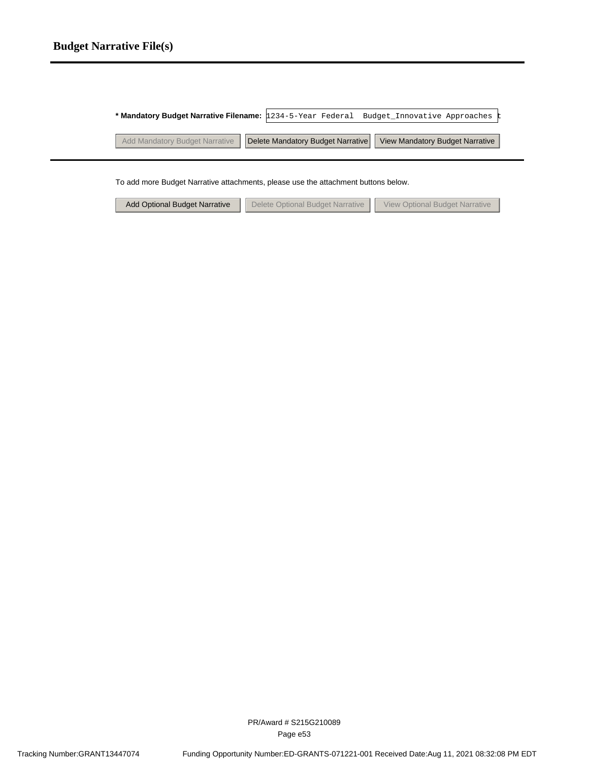# **Budget Narrative File(s)**

|                                | * Mandatory Budget Narrative Filename: 1234-5-Year Federal Budget_Innovative Approaches t |
|--------------------------------|-------------------------------------------------------------------------------------------|
| Add Mandatory Budget Narrative | Delete Mandatory Budget Narrative   View Mandatory Budget Narrative                       |
|                                |                                                                                           |

To add more Budget Narrative attachments, please use the attachment buttons below.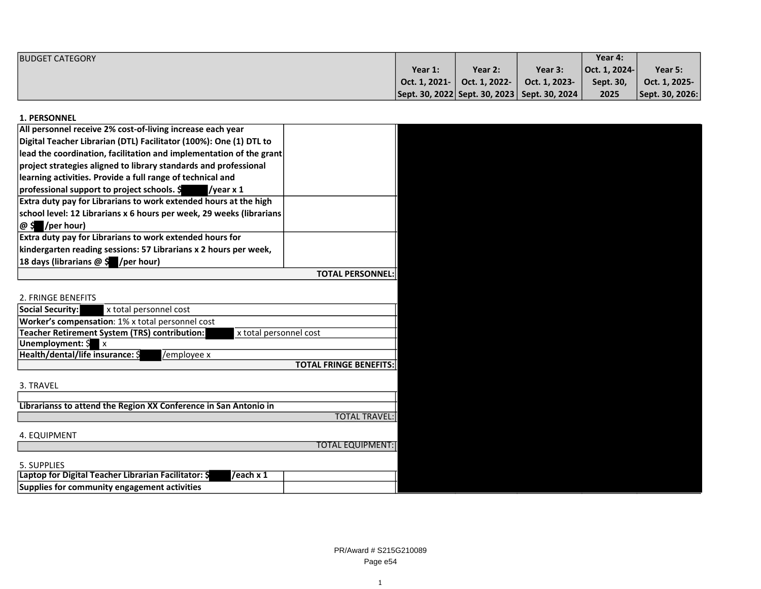| <b>BUDGET CATEGORY</b> |         |                                               |                                              | Year 4:               |                 |
|------------------------|---------|-----------------------------------------------|----------------------------------------------|-----------------------|-----------------|
|                        | Year 1: | Year 2:                                       | Year 3:                                      | $ $ Oct. 1, 2024- $ $ | Year 5:         |
|                        |         | Oct. 1, 2021-   Oct. 1, 2022-   Oct. 1, 2023- |                                              | Sept. 30.             | Oct. 1, 2025-   |
|                        |         |                                               | Sept. 30, 2022 Sept. 30, 2023 Sept. 30, 2024 | 2025                  | Sept. 30, 2026: |

#### 1. PERSONNEL

| All personnel receive 2% cost-of-living increase each year              |                               |  |
|-------------------------------------------------------------------------|-------------------------------|--|
| Digital Teacher Librarian (DTL) Facilitator (100%): One (1) DTL to      |                               |  |
| lead the coordination, facilitation and implementation of the grant     |                               |  |
| project strategies aligned to library standards and professional        |                               |  |
| learning activities. Provide a full range of technical and              |                               |  |
| professional support to project schools. \$<br>/year x 1                |                               |  |
| Extra duty pay for Librarians to work extended hours at the high        |                               |  |
| school level: 12 Librarians x 6 hours per week, 29 weeks (librarians    |                               |  |
| $  \omega \sin \theta  $ /per hour)                                     |                               |  |
| Extra duty pay for Librarians to work extended hours for                |                               |  |
| kindergarten reading sessions: 57 Librarians x 2 hours per week,        |                               |  |
| 18 days (librarians $@$ \$ /per hour)                                   |                               |  |
|                                                                         | <b>TOTAL PERSONNEL:</b>       |  |
|                                                                         |                               |  |
| 2. FRINGE BENEFITS                                                      |                               |  |
| <b>Social Security:</b><br>x total personnel cost                       |                               |  |
| Worker's compensation: 1% x total personnel cost                        |                               |  |
| Teacher Retirement System (TRS) contribution:<br>x total personnel cost |                               |  |
| Unemployment: $\frac{1}{2}$ x                                           |                               |  |
| Health/dental/life insurance: \$<br>/employee x                         |                               |  |
|                                                                         | <b>TOTAL FRINGE BENEFITS:</b> |  |
| 3. TRAVEL                                                               |                               |  |
|                                                                         |                               |  |
| Librarianss to attend the Region XX Conference in San Antonio in        |                               |  |
|                                                                         | <b>TOTAL TRAVEL:</b>          |  |
| 4. EQUIPMENT                                                            |                               |  |
|                                                                         | <b>TOTAL EQUIPMENT:</b>       |  |
|                                                                         |                               |  |
| 5. SUPPLIES                                                             |                               |  |
| Laptop for Digital Teacher Librarian Facilitator: \$<br>/each x 1       |                               |  |
| Supplies for community engagement activities                            |                               |  |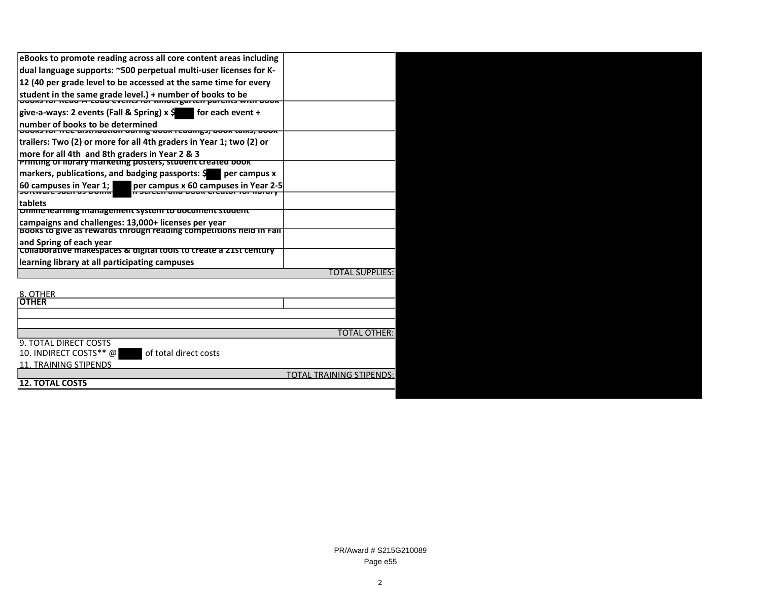| eBooks to promote reading across all core content areas including                                                            |                                 |  |
|------------------------------------------------------------------------------------------------------------------------------|---------------------------------|--|
| dual language supports: ~500 perpetual multi-user licenses for K-                                                            |                                 |  |
| 12 (40 per grade level to be accessed at the same time for every                                                             |                                 |  |
| student in the same grade level.) + number of books to be<br>pooks for nead-A-coud events for kindergarten parents with book |                                 |  |
| give-a-ways: 2 events (Fall & Spring) x \$<br>for each event +                                                               |                                 |  |
| number of books to be determined<br>אסטא דטר ווכב מוזכותומנוטה ממרוווק גוסטא רכממותקט, גוסטא נמואט, גוסטא                    |                                 |  |
| trailers: Two (2) or more for all 4th graders in Year 1; two (2) or                                                          |                                 |  |
| more for all 4th and 8th graders in Year 2 & 3<br>Printing of library marketing posters, student created book                |                                 |  |
| markers, publications, and badging passports: \$<br>per campus x                                                             |                                 |  |
| per campus x 60 campuses in Year 2-5<br>60 campuses in Year 1;<br><del>corritore such as Donne</del>                         |                                 |  |
| <b>tablets</b>                                                                                                               |                                 |  |
| <b>Unline learning management system to document student</b>                                                                 |                                 |  |
| campaigns and challenges: 13,000+ licenses per year<br>Books to give as rewards through reading competitions held in Fall    |                                 |  |
| and Spring of each year                                                                                                      |                                 |  |
| collaborative makespaces & digital tools to create a 21st century                                                            |                                 |  |
| learning library at all participating campuses                                                                               |                                 |  |
|                                                                                                                              | <b>TOTAL SUPPLIES:</b>          |  |
|                                                                                                                              |                                 |  |
| 8. OTHER<br><b>OTHER</b>                                                                                                     |                                 |  |
|                                                                                                                              |                                 |  |
|                                                                                                                              |                                 |  |
|                                                                                                                              | <b>TOTAL OTHER:</b>             |  |
| <b>9. TOTAL DIRECT COSTS</b>                                                                                                 |                                 |  |
| 10. INDIRECT COSTS** @<br>of total direct costs                                                                              |                                 |  |
| <b>11. TRAINING STIPENDS</b>                                                                                                 | <b>TOTAL TRAINING STIPENDS:</b> |  |
| <b>12. TOTAL COSTS</b>                                                                                                       |                                 |  |
|                                                                                                                              |                                 |  |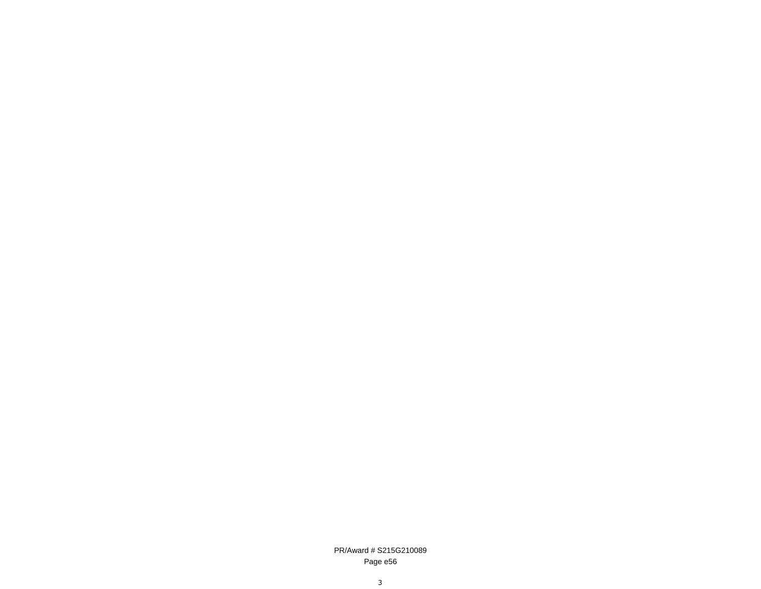PR/Award # S215G210089 Page e56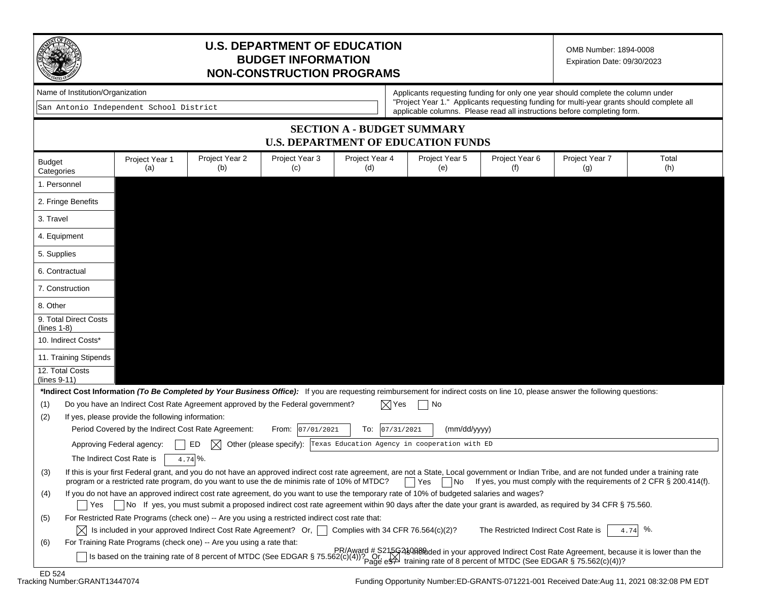

# **U.S. DEPARTMENT OF EDUCATION BUDGET INFORMATION NON-CONSTRUCTION PROGRAMS**

OMB Number: 1894-0008 Expiration Date: 09/30/2023

|  | Name of Institution/Organization |
|--|----------------------------------|
|--|----------------------------------|

San Antonio Independent School District

Applicants requesting funding for only one year should complete the column under "Project Year 1." Applicants requesting funding for multi-year grants should complete all applicable columns. Please read all instructions before completing form.

# **SECTION A - BUDGET SUMMARY U.S. DEPARTMENT OF EDUCATION FUNDS**

| <b>Budget</b><br>Categories |                           | Project Year 1<br>(a)                               | Project Year 2<br>(b)                                                                            | Project Year 3<br>(C)                                                                           | Project Year 4<br>(d)                                                                                                                                                                          | Project Year 5<br>(e) | Project Year 6<br>(f)                                                                   | Project Year 7<br>(g) | Total<br>(h)                                                                                           |
|-----------------------------|---------------------------|-----------------------------------------------------|--------------------------------------------------------------------------------------------------|-------------------------------------------------------------------------------------------------|------------------------------------------------------------------------------------------------------------------------------------------------------------------------------------------------|-----------------------|-----------------------------------------------------------------------------------------|-----------------------|--------------------------------------------------------------------------------------------------------|
| 1. Personnel                |                           |                                                     |                                                                                                  |                                                                                                 |                                                                                                                                                                                                |                       |                                                                                         |                       |                                                                                                        |
|                             | 2. Fringe Benefits        |                                                     |                                                                                                  |                                                                                                 |                                                                                                                                                                                                |                       |                                                                                         |                       |                                                                                                        |
| 3. Travel                   |                           |                                                     |                                                                                                  |                                                                                                 |                                                                                                                                                                                                |                       |                                                                                         |                       |                                                                                                        |
| 4. Equipment                |                           |                                                     |                                                                                                  |                                                                                                 |                                                                                                                                                                                                |                       |                                                                                         |                       |                                                                                                        |
| 5. Supplies                 |                           |                                                     |                                                                                                  |                                                                                                 |                                                                                                                                                                                                |                       |                                                                                         |                       |                                                                                                        |
|                             | 6. Contractual            |                                                     |                                                                                                  |                                                                                                 |                                                                                                                                                                                                |                       |                                                                                         |                       |                                                                                                        |
|                             | 7. Construction           |                                                     |                                                                                                  |                                                                                                 |                                                                                                                                                                                                |                       |                                                                                         |                       |                                                                                                        |
| 8. Other                    |                           |                                                     |                                                                                                  |                                                                                                 |                                                                                                                                                                                                |                       |                                                                                         |                       |                                                                                                        |
| $(lines 1-8)$               | 9. Total Direct Costs     |                                                     |                                                                                                  |                                                                                                 |                                                                                                                                                                                                |                       |                                                                                         |                       |                                                                                                        |
|                             | 10. Indirect Costs*       |                                                     |                                                                                                  |                                                                                                 |                                                                                                                                                                                                |                       |                                                                                         |                       |                                                                                                        |
|                             | 11. Training Stipends     |                                                     |                                                                                                  |                                                                                                 |                                                                                                                                                                                                |                       |                                                                                         |                       |                                                                                                        |
| (lines 9-11)                | 12. Total Costs           |                                                     |                                                                                                  |                                                                                                 |                                                                                                                                                                                                |                       |                                                                                         |                       |                                                                                                        |
|                             |                           |                                                     |                                                                                                  |                                                                                                 | *Indirect Cost Information (To Be Completed by Your Business Office): If you are requesting reimbursement for indirect costs on line 10, please answer the following questions:                |                       |                                                                                         |                       |                                                                                                        |
| (1)                         |                           |                                                     |                                                                                                  | Do you have an Indirect Cost Rate Agreement approved by the Federal government?                 | $\boxtimes$ Yes                                                                                                                                                                                | No                    |                                                                                         |                       |                                                                                                        |
| (2)                         |                           | If yes, please provide the following information:   |                                                                                                  |                                                                                                 |                                                                                                                                                                                                |                       |                                                                                         |                       |                                                                                                        |
|                             |                           | Period Covered by the Indirect Cost Rate Agreement: |                                                                                                  | From: 07/01/2021                                                                                | 07/31/2021<br>To:                                                                                                                                                                              | (mm/dd/yyyy)          |                                                                                         |                       |                                                                                                        |
|                             |                           | Approving Federal agency:                           | ED<br>$\bowtie$                                                                                  | Other (please specify):                                                                         | Texas Education Agency in cooperation with ED                                                                                                                                                  |                       |                                                                                         |                       |                                                                                                        |
|                             | The Indirect Cost Rate is |                                                     | $4.74\%$                                                                                         |                                                                                                 |                                                                                                                                                                                                |                       |                                                                                         |                       |                                                                                                        |
| (3)                         |                           |                                                     |                                                                                                  | program or a restricted rate program, do you want to use the de minimis rate of 10% of MTDC?    | If this is your first Federal grant, and you do not have an approved indirect cost rate agreement, are not a State, Local government or Indian Tribe, and are not funded under a training rate | l Yes<br> No          |                                                                                         |                       | If yes, you must comply with the requirements of 2 CFR § 200.414(f).                                   |
| (4)                         |                           |                                                     |                                                                                                  |                                                                                                 | If you do not have an approved indirect cost rate agreement, do you want to use the temporary rate of 10% of budgeted salaries and wages?                                                      |                       |                                                                                         |                       |                                                                                                        |
|                             | ∣ Yes                     |                                                     |                                                                                                  |                                                                                                 | No If yes, you must submit a proposed indirect cost rate agreement within 90 days after the date your grant is awarded, as required by 34 CFR § 75.560.                                        |                       |                                                                                         |                       |                                                                                                        |
| (5)                         |                           |                                                     |                                                                                                  | For Restricted Rate Programs (check one) -- Are you using a restricted indirect cost rate that: |                                                                                                                                                                                                |                       |                                                                                         |                       |                                                                                                        |
|                             |                           |                                                     | $\vert\chi\vert$ is included in your approved indirect Cost Rate Agreement? Or, $\vert\;\;\vert$ |                                                                                                 | Complies with 34 CFR 76.564(c)(2)?                                                                                                                                                             |                       | The Restricted Indirect Cost Rate is                                                    |                       | %.<br>4.74                                                                                             |
| (6)                         |                           |                                                     | For Training Rate Programs (check one) -- Are you using a rate that:                             |                                                                                                 |                                                                                                                                                                                                |                       |                                                                                         |                       | PR/Award # S215G239RBRuded in your approved Indirect Cost Rate Agreement, because it is lower than the |
|                             |                           |                                                     |                                                                                                  | Is based on the training rate of 8 percent of MTDC (See EDGAR § 75.562(c)(4))                   |                                                                                                                                                                                                |                       | Page estable training rate of 8 percent of MTDC (See EDGAR $\frac{8}{9}$ 75.562(c)(4))? |                       |                                                                                                        |
| $FD$ 524                    |                           |                                                     |                                                                                                  |                                                                                                 |                                                                                                                                                                                                |                       |                                                                                         |                       |                                                                                                        |

ED 524<br>Tracking Number:GRANT13447074

Funding Opportunity Number:ED-GRANTS-071221-001 Received Date:Aug 11, 2021 08:32:08 PM EDT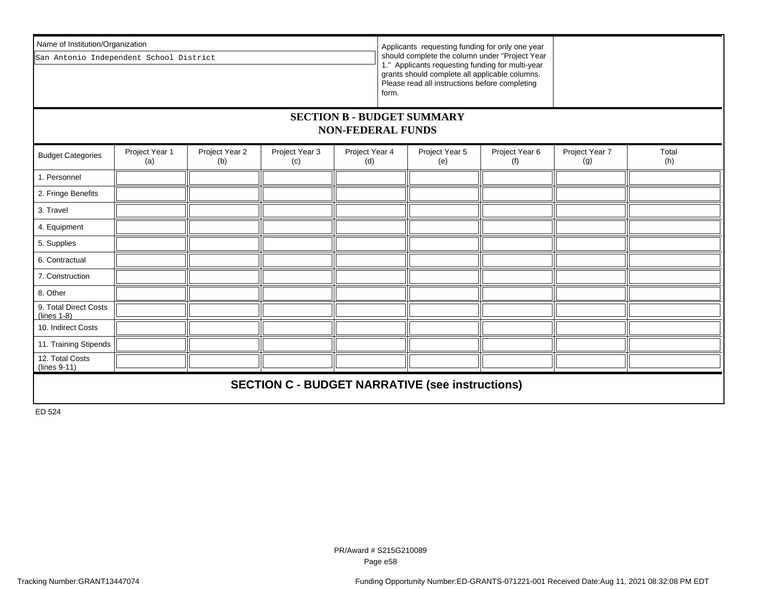| Name of Institution/Organization                                                                                             |                                                               |  |  |                                                                                                                                                                                                                                                                    |  |                       |                       |                       |              |  |
|------------------------------------------------------------------------------------------------------------------------------|---------------------------------------------------------------|--|--|--------------------------------------------------------------------------------------------------------------------------------------------------------------------------------------------------------------------------------------------------------------------|--|-----------------------|-----------------------|-----------------------|--------------|--|
| San Antonio Independent School District                                                                                      |                                                               |  |  | Applicants requesting funding for only one year<br>should complete the column under "Project Year<br>1." Applicants requesting funding for multi-year<br>grants should complete all applicable columns.<br>Please read all instructions before completing<br>form. |  |                       |                       |                       |              |  |
|                                                                                                                              | <b>SECTION B - BUDGET SUMMARY</b><br><b>NON-FEDERAL FUNDS</b> |  |  |                                                                                                                                                                                                                                                                    |  |                       |                       |                       |              |  |
| Project Year 1<br>Project Year 2<br>Project Year 3<br>Project Year 4<br><b>Budget Categories</b><br>(a)<br>(b)<br>(c)<br>(d) |                                                               |  |  |                                                                                                                                                                                                                                                                    |  | Project Year 5<br>(e) | Project Year 6<br>(f) | Project Year 7<br>(g) | Total<br>(h) |  |
| 1. Personnel                                                                                                                 |                                                               |  |  |                                                                                                                                                                                                                                                                    |  |                       |                       |                       |              |  |
| 2. Fringe Benefits                                                                                                           |                                                               |  |  |                                                                                                                                                                                                                                                                    |  |                       |                       |                       |              |  |
| 3. Travel                                                                                                                    |                                                               |  |  |                                                                                                                                                                                                                                                                    |  |                       |                       |                       |              |  |
| 4. Equipment                                                                                                                 |                                                               |  |  |                                                                                                                                                                                                                                                                    |  |                       |                       |                       |              |  |
| 5. Supplies                                                                                                                  |                                                               |  |  |                                                                                                                                                                                                                                                                    |  |                       |                       |                       |              |  |
| 6. Contractual                                                                                                               |                                                               |  |  |                                                                                                                                                                                                                                                                    |  |                       |                       |                       |              |  |
| 7. Construction                                                                                                              |                                                               |  |  |                                                                                                                                                                                                                                                                    |  |                       |                       |                       |              |  |
| 8. Other                                                                                                                     |                                                               |  |  |                                                                                                                                                                                                                                                                    |  |                       |                       |                       |              |  |
| 9. Total Direct Costs<br>$(lines 1-8)$                                                                                       |                                                               |  |  |                                                                                                                                                                                                                                                                    |  |                       |                       |                       |              |  |
| 10. Indirect Costs                                                                                                           |                                                               |  |  |                                                                                                                                                                                                                                                                    |  |                       |                       |                       |              |  |
| 11. Training Stipends                                                                                                        |                                                               |  |  |                                                                                                                                                                                                                                                                    |  |                       |                       |                       |              |  |
| 12. Total Costs<br>(lines 9-11)                                                                                              |                                                               |  |  |                                                                                                                                                                                                                                                                    |  |                       |                       |                       |              |  |
| <b>SECTION C - BUDGET NARRATIVE (see instructions)</b>                                                                       |                                                               |  |  |                                                                                                                                                                                                                                                                    |  |                       |                       |                       |              |  |

ED 524